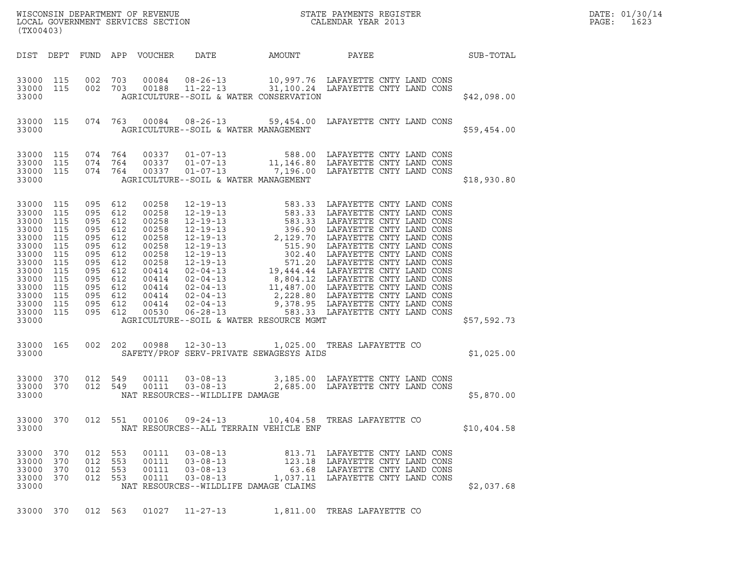| (TX00403)                                                                                                                                           |                                                                    |                                                                                                                                                        |                   |                                                                                                                            |                                                                                                               |        |                                                                                                                                                                 |             | DATE: 01/30/14<br>PAGE:<br>1623 |
|-----------------------------------------------------------------------------------------------------------------------------------------------------|--------------------------------------------------------------------|--------------------------------------------------------------------------------------------------------------------------------------------------------|-------------------|----------------------------------------------------------------------------------------------------------------------------|---------------------------------------------------------------------------------------------------------------|--------|-----------------------------------------------------------------------------------------------------------------------------------------------------------------|-------------|---------------------------------|
|                                                                                                                                                     |                                                                    |                                                                                                                                                        |                   | DIST DEPT FUND APP VOUCHER                                                                                                 | DATE                                                                                                          | AMOUNT | PAYEE                                                                                                                                                           | SUB-TOTAL   |                                 |
| 33000 115 002 703<br>33000 115<br>33000                                                                                                             |                                                                    | 002 703                                                                                                                                                |                   |                                                                                                                            | AGRICULTURE--SOIL & WATER CONSERVATION                                                                        |        | 00084  08-26-13  10,997.76  LAFAYETTE CNTY LAND CONS                                                                                                            | \$42,098.00 |                                 |
| 33000 115<br>33000                                                                                                                                  |                                                                    |                                                                                                                                                        |                   |                                                                                                                            | AGRICULTURE--SOIL & WATER MANAGEMENT                                                                          |        | 074 763 00084 08-26-13 59,454.00 LAFAYETTE CNTY LAND CONS                                                                                                       | \$59,454.00 |                                 |
| 33000 115<br>33000 115<br>33000 115<br>33000                                                                                                        |                                                                    | 074 764<br>074 764<br>074 764                                                                                                                          |                   |                                                                                                                            | AGRICULTURE--SOIL & WATER MANAGEMENT                                                                          |        | 00337  01-07-13  588.00 LAFAYETTE CNTY LAND CONS<br>00337  01-07-13   11,146.80 LAFAYETTE CNTY LAND CONS<br>00337  01-07-13   7,196.00 LAFAYETTE CNTY LAND CONS | \$18,930.80 |                                 |
| 33000 115<br>33000 115<br>33000<br>33000<br>33000<br>33000<br>33000<br>33000<br>33000<br>33000<br>33000<br>33000<br>33000 115<br>33000 115<br>33000 | 115<br>115<br>115<br>115<br>115<br>115<br>115<br>115<br>115<br>115 | 095 612<br>095 612<br>095 612<br>095 612<br>095 612<br>095 612<br>095 612<br>095 612<br>095 612<br>095 612<br>095 612<br>095 612<br>095 612<br>095 612 |                   | 00258<br>00258<br>00258<br>00258<br>00258<br>00258<br>00258<br>00258<br>00414<br>00414<br>00414<br>00414<br>00414<br>00530 | AGRICULTURE--SOIL & WATER RESOURCE MGMT                                                                       |        |                                                                                                                                                                 | \$57,592.73 |                                 |
| 33000 165<br>33000                                                                                                                                  |                                                                    |                                                                                                                                                        |                   |                                                                                                                            | SAFETY/PROF SERV-PRIVATE SEWAGESYS AIDS                                                                       |        | 002 202 00988 12-30-13 1,025.00 TREAS LAFAYETTE CO                                                                                                              | \$1,025.00  |                                 |
| 33000 370<br>33000 370<br>33000                                                                                                                     |                                                                    | 012 549<br>012 549                                                                                                                                     |                   | 00111<br>00111                                                                                                             | NAT RESOURCES--WILDLIFE DAMAGE                                                                                |        |                                                                                                                                                                 | \$5,870.00  |                                 |
| 33000 370<br>33000                                                                                                                                  |                                                                    | 012 551                                                                                                                                                |                   | 00106                                                                                                                      | $09 - 24 - 13$<br>NAT RESOURCES--ALL TERRAIN VEHICLE ENF                                                      |        | 10,404.58 TREAS LAFAYETTE CO                                                                                                                                    | \$10,404.58 |                                 |
| 33000 370<br>33000<br>33000<br>33000<br>33000                                                                                                       | 370<br>370<br>370                                                  | 012<br>012<br>012<br>012 553                                                                                                                           | 553<br>553<br>553 | 00111<br>00111<br>00111<br>00111                                                                                           | $03 - 08 - 13$<br>$03 - 08 - 13$<br>$03 - 08 - 13$<br>$03 - 08 - 13$<br>NAT RESOURCES--WILDLIFE DAMAGE CLAIMS |        | 813.71 LAFAYETTE CNTY LAND CONS<br>123.18 LAFAYETTE CNTY LAND CONS<br>63.68 LAFAYETTE CNTY LAND CONS<br>1,037.11 LAFAYETTE CNTY LAND CONS                       | \$2,037.68  |                                 |
| 33000 370                                                                                                                                           |                                                                    | 012 563                                                                                                                                                |                   | 01027                                                                                                                      | $11 - 27 - 13$                                                                                                |        | 1,811.00 TREAS LAFAYETTE CO                                                                                                                                     |             |                                 |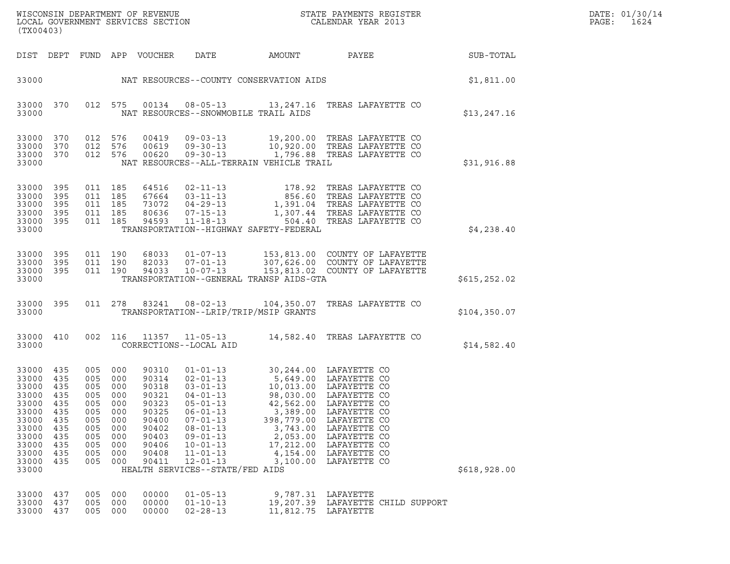| DATE: | 01/30/14 |
|-------|----------|
| PAGE: | 1624     |

|                                                                                                                               | WISCONSIN DEPARTMENT OF REVENUE<br>STATE PAYMENTS REGISTER<br>LOCAL GOVERNMENT SERVICES SECTION<br>CALENDAR YEAR 2013<br>(TX00403) |                                                                            |                                                                            |                                                                                                          |                                                                                                                                                                                                                                                         |                                                                                                  |                                                                                                                                                                                                                                     |               | DATE: 01/30/14<br>PAGE:<br>1624 |
|-------------------------------------------------------------------------------------------------------------------------------|------------------------------------------------------------------------------------------------------------------------------------|----------------------------------------------------------------------------|----------------------------------------------------------------------------|----------------------------------------------------------------------------------------------------------|---------------------------------------------------------------------------------------------------------------------------------------------------------------------------------------------------------------------------------------------------------|--------------------------------------------------------------------------------------------------|-------------------------------------------------------------------------------------------------------------------------------------------------------------------------------------------------------------------------------------|---------------|---------------------------------|
| DIST DEPT                                                                                                                     |                                                                                                                                    |                                                                            |                                                                            | FUND APP VOUCHER                                                                                         | DATE                                                                                                                                                                                                                                                    | AMOUNT                                                                                           | PAYEE                                                                                                                                                                                                                               | SUB-TOTAL     |                                 |
| 33000                                                                                                                         |                                                                                                                                    |                                                                            |                                                                            |                                                                                                          | NAT RESOURCES--COUNTY CONSERVATION AIDS                                                                                                                                                                                                                 |                                                                                                  |                                                                                                                                                                                                                                     | \$1,811.00    |                                 |
| 33000 370<br>33000                                                                                                            |                                                                                                                                    | 012 575                                                                    |                                                                            | 00134                                                                                                    | NAT RESOURCES--SNOWMOBILE TRAIL AIDS                                                                                                                                                                                                                    |                                                                                                  | 08-05-13 13,247.16 TREAS LAFAYETTE CO                                                                                                                                                                                               | \$13, 247.16  |                                 |
| 33000 370<br>33000<br>33000<br>33000                                                                                          | 370<br>370                                                                                                                         | 012 576<br>012 576<br>012 576                                              |                                                                            | 00419<br>00619<br>00620                                                                                  | $09 - 03 - 13$<br>$09 - 30 - 13$<br>NAT RESOURCES--ALL-TERRAIN VEHICLE TRAIL                                                                                                                                                                            |                                                                                                  | 19,200.00 TREAS LAFAYETTE CO<br>10,920.00 TREAS LAFAYETTE CO<br>09-30-13 1,796.88 TREAS LAFAYETTE CO                                                                                                                                | \$31,916.88   |                                 |
| 33000<br>33000<br>33000<br>33000<br>33000<br>33000                                                                            | 395<br>395<br>395<br>395<br>395                                                                                                    | 011 185<br>011 185<br>011 185<br>011 185                                   | 011 185                                                                    | 64516<br>67664<br>73072<br>80636<br>94593                                                                | $02 - 11 - 13$<br>$03 - 11 - 13$<br>$04 - 29 - 13$<br>$07 - 15 - 13$<br>TRANSPORTATION--HIGHWAY SAFETY-FEDERAL                                                                                                                                          |                                                                                                  | 178.92 TREAS LAFAYETTE CO<br>856.60 TREAS LAFAYETTE CO<br>1,391.04 TREAS LAFAYETTE CO<br>1,307.44 TREAS LAFAYETTE CO<br>11-18-13 504.40 TREAS LAFAYETTE CO                                                                          | \$4,238.40    |                                 |
| 33000<br>33000 395<br>33000<br>33000                                                                                          | - 395<br>- 395                                                                                                                     | 011 190<br>011 190<br>011 190                                              |                                                                            | 68033<br>82033<br>94033                                                                                  | $01 - 07 - 13$<br>$07 - 01 - 13$<br>$10 - 07 - 13$<br>TRANSPORTATION--GENERAL TRANSP AIDS-GTA                                                                                                                                                           |                                                                                                  | 153,813.00 COUNTY OF LAFAYETTE<br>307,626.00 COUNTY OF LAFAYETTE<br>153,813.02 COUNTY OF LAFAYETTE                                                                                                                                  | \$615, 252.02 |                                 |
| 33000 395<br>33000                                                                                                            |                                                                                                                                    |                                                                            | 011 278                                                                    | 83241                                                                                                    | 08-02-13<br>TRANSPORTATION--LRIP/TRIP/MSIP GRANTS                                                                                                                                                                                                       |                                                                                                  | 104,350.07 TREAS LAFAYETTE CO                                                                                                                                                                                                       | \$104, 350.07 |                                 |
| 33000 410<br>33000                                                                                                            |                                                                                                                                    |                                                                            | 002 116                                                                    |                                                                                                          | 11357 11-05-13<br>CORRECTIONS--LOCAL AID                                                                                                                                                                                                                |                                                                                                  | 14,582.40 TREAS LAFAYETTE CO                                                                                                                                                                                                        | \$14,582.40   |                                 |
| 33000 435<br>33000 435<br>33000<br>33000 435<br>33000<br>33000<br>33000<br>33000<br>33000<br>33000<br>33000<br>33000<br>33000 | 435<br>435<br>435<br>435<br>435<br>435<br>435<br>435<br>435                                                                        | 005 000<br>005 000<br>005<br>005<br>005<br>005<br>005<br>005<br>005<br>005 | 005 000<br>005 000<br>000<br>000<br>000<br>000<br>000<br>000<br>000<br>000 | 90310<br>90314<br>90318<br>90321<br>90323<br>90325<br>90400<br>90402<br>90403<br>90406<br>90408<br>90411 | $01 - 01 - 13$<br>$02 - 01 - 13$<br>$03 - 01 - 13$<br>$04 - 01 - 13$<br>$05 - 01 - 13$<br>$06 - 01 - 13$<br>$07 - 01 - 13$<br>$08 - 01 - 13$<br>$09 - 01 - 13$<br>$10 - 01 - 13$<br>$11 - 01 - 13$<br>$12 - 01 - 13$<br>HEALTH SERVICES--STATE/FED AIDS | 42,562.00<br>3,389.00<br>398,779.00<br>3,743.00<br>2,053.00<br>17,212.00<br>4,154.00<br>3,100.00 | 30,244.00 LAFAYETTE CO<br>5,649.00 LAFAYETTE CO<br>10,013.00 LAFAYETTE CO<br>98,030.00 LAFAYETTE CO<br>LAFAYETTE CO<br>LAFAYETTE CO<br>LAFAYETTE CO<br>LAFAYETTE CO<br>LAFAYETTE CO<br>LAFAYETTE CO<br>LAFAYETTE CO<br>LAFAYETTE CO | \$618,928.00  |                                 |
| 33000<br>33000<br>33000                                                                                                       | 437<br>437<br>437                                                                                                                  | 005<br>005<br>005                                                          | 000<br>000<br>000                                                          | 00000<br>00000<br>00000                                                                                  | $01 - 05 - 13$<br>$01 - 10 - 13$<br>$02 - 28 - 13$                                                                                                                                                                                                      | 9,787.31<br>11,812.75 LAFAYETTE                                                                  | LAFAYETTE<br>19,207.39 LAFAYETTE CHILD SUPPORT                                                                                                                                                                                      |               |                                 |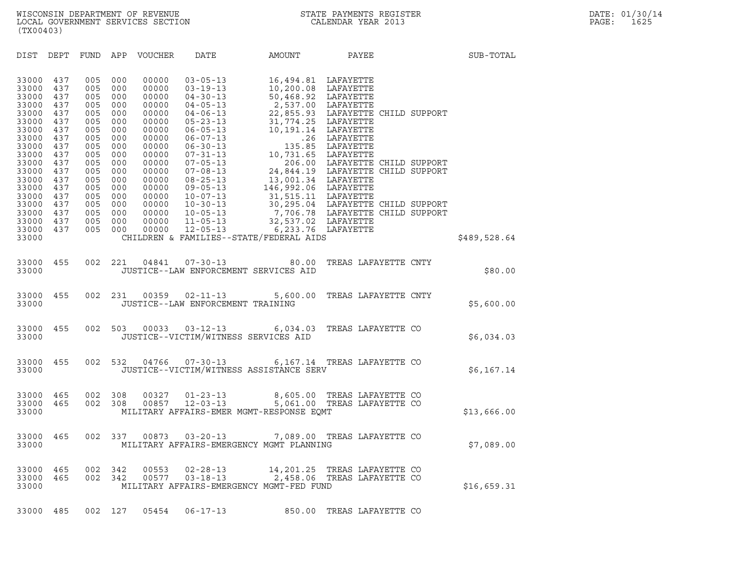| (TX00403)                                                                                                                                                      |                                                                                                                            |                                                                                                                            |                                                                                                                            |                                                                                                                                                                |                                                                                                                                                                |                                                                                                                                                              |                                                                                                                                                                                                                                                                                                                        |              |  |
|----------------------------------------------------------------------------------------------------------------------------------------------------------------|----------------------------------------------------------------------------------------------------------------------------|----------------------------------------------------------------------------------------------------------------------------|----------------------------------------------------------------------------------------------------------------------------|----------------------------------------------------------------------------------------------------------------------------------------------------------------|----------------------------------------------------------------------------------------------------------------------------------------------------------------|--------------------------------------------------------------------------------------------------------------------------------------------------------------|------------------------------------------------------------------------------------------------------------------------------------------------------------------------------------------------------------------------------------------------------------------------------------------------------------------------|--------------|--|
| DIST                                                                                                                                                           | DEPT                                                                                                                       | <b>FUND</b>                                                                                                                | APP                                                                                                                        | VOUCHER                                                                                                                                                        | DATE                                                                                                                                                           | AMOUNT                                                                                                                                                       | PAYEE                                                                                                                                                                                                                                                                                                                  | SUB-TOTAL    |  |
| 33000<br>33000<br>33000<br>33000<br>33000<br>33000<br>33000<br>33000<br>33000<br>33000<br>33000<br>33000<br>33000<br>33000<br>33000<br>33000<br>33000<br>33000 | 437<br>437<br>437<br>437<br>437<br>437<br>437<br>437<br>437<br>437<br>437<br>437<br>437<br>437<br>437<br>437<br>437<br>437 | 005<br>005<br>005<br>005<br>005<br>005<br>005<br>005<br>005<br>005<br>005<br>005<br>005<br>005<br>005<br>005<br>005<br>005 | 000<br>000<br>000<br>000<br>000<br>000<br>000<br>000<br>000<br>000<br>000<br>000<br>000<br>000<br>000<br>000<br>000<br>000 | 00000<br>00000<br>00000<br>00000<br>00000<br>00000<br>00000<br>00000<br>00000<br>00000<br>00000<br>00000<br>00000<br>00000<br>00000<br>00000<br>00000<br>00000 | $03 - 05 - 13$<br>$03 - 19 - 13$<br>$04 - 30 - 13$<br>$04 - 05 - 13$<br>$04 - 06 - 13$<br>$10 - 07 - 13$<br>$10 - 30 - 13$<br>$10 - 05 - 13$<br>$11 - 05 - 13$ | 16,494.81 LAFAYETTE<br>10,200.08 LAFAYETTE<br>50,468.92 LAFAYETTE<br>2,537.00 LAFAYETTE<br>31,774.25 LAFAYETTE<br>10,191.14 LAFAYETTE<br>10,731.65 LAFAYETTE | 22,855.93 LAFAYETTE CHILD SUPPORT<br>.26 LAFAYETTE<br>135.85 LAFAYETTE<br>10, 731.85 LAFATETTE CHILD SUPPORT<br>24, 844.19 LAFAYETTE CHILD SUPPORT<br>13, 001.34 LAFAYETTE<br>146, 992.06 LAFAYETTE<br>31, 515.11 LAFAYETTE<br>30, 295.04 LAFAYETTE CHILD SUPPORT<br>7, 706.78 LAFAYETTE CHILD SUPPORT<br>32, 537.02 L |              |  |
| 33000<br>33000                                                                                                                                                 | 437                                                                                                                        | 005                                                                                                                        | 000                                                                                                                        | 00000                                                                                                                                                          | $12 - 05 - 13$                                                                                                                                                 | $\sim$ $\sim$ 3<br>CHILDREN & FAMILIES--STATE/FEDERAL AIDS                                                                                                   | 6,233.76 LAFAYETTE                                                                                                                                                                                                                                                                                                     | \$489,528.64 |  |
| 33000<br>33000                                                                                                                                                 | 455                                                                                                                        | 002                                                                                                                        | 221                                                                                                                        | 04841                                                                                                                                                          | $07 - 30 - 13$                                                                                                                                                 | 80.00<br>JUSTICE--LAW ENFORCEMENT SERVICES AID                                                                                                               | TREAS LAFAYETTE CNTY                                                                                                                                                                                                                                                                                                   | \$80.00      |  |
| 33000<br>33000                                                                                                                                                 | 455                                                                                                                        | 002                                                                                                                        | 231                                                                                                                        | 00359                                                                                                                                                          | $02 - 11 - 13$<br>JUSTICE--LAW ENFORCEMENT TRAINING                                                                                                            | 5,600.00                                                                                                                                                     | TREAS LAFAYETTE CNTY                                                                                                                                                                                                                                                                                                   | \$5,600.00   |  |
| 33000<br>33000                                                                                                                                                 | 455                                                                                                                        | 002                                                                                                                        | 503                                                                                                                        | 00033                                                                                                                                                          | JUSTICE--VICTIM/WITNESS SERVICES AID                                                                                                                           | $03 - 12 - 13$ 6, 034.03                                                                                                                                     | TREAS LAFAYETTE CO                                                                                                                                                                                                                                                                                                     | \$6,034.03   |  |
| 33000<br>33000                                                                                                                                                 | 455                                                                                                                        | 002                                                                                                                        | 532                                                                                                                        | 04766                                                                                                                                                          |                                                                                                                                                                | JUSTICE--VICTIM/WITNESS ASSISTANCE SERV                                                                                                                      | 07-30-13 6,167.14 TREAS LAFAYETTE CO                                                                                                                                                                                                                                                                                   | \$6,167.14   |  |
| 33000<br>33000<br>33000                                                                                                                                        | 465<br>465                                                                                                                 | 002<br>002                                                                                                                 | 308<br>308                                                                                                                 | 00327<br>00857                                                                                                                                                 | $01 - 23 - 13$<br>$12 - 03 - 13$                                                                                                                               | MILITARY AFFAIRS-EMER MGMT-RESPONSE EQMT                                                                                                                     | 8,605.00 TREAS LAFAYETTE CO<br>5,061.00 TREAS LAFAYETTE CO                                                                                                                                                                                                                                                             | \$13,666.00  |  |
| 33000<br>33000                                                                                                                                                 | 465                                                                                                                        | 002                                                                                                                        | 337                                                                                                                        | 00873                                                                                                                                                          | $03 - 20 - 13$                                                                                                                                                 | 7,089.00<br>MILITARY AFFAIRS-EMERGENCY MGMT PLANNING                                                                                                         | TREAS LAFAYETTE CO                                                                                                                                                                                                                                                                                                     | \$7,089.00   |  |
| 33000 465<br>33000 465<br>33000                                                                                                                                |                                                                                                                            | 002<br>002                                                                                                                 | 342<br>342                                                                                                                 |                                                                                                                                                                |                                                                                                                                                                | MILITARY AFFAIRS-EMERGENCY MGMT-FED FUND                                                                                                                     | 00553  02-28-13  14, 201.25  TREAS LAFAYETTE CO<br>00577  03-18-13  2,458.06 TREAS LAFAYETTE CO                                                                                                                                                                                                                        | \$16,659.31  |  |
| 33000 485                                                                                                                                                      |                                                                                                                            |                                                                                                                            | 002 127                                                                                                                    | 05454                                                                                                                                                          | $06 - 17 - 13$                                                                                                                                                 |                                                                                                                                                              | 850.00 TREAS LAFAYETTE CO                                                                                                                                                                                                                                                                                              |              |  |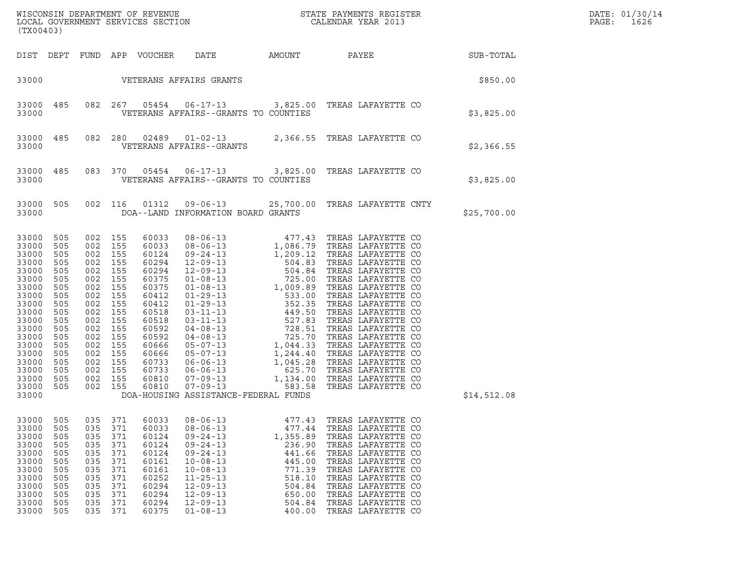| (TX00403)                                                                                                                                                                        |                                                                                                                                   |                                                                                                                                                                                                       |                                                                                  |                                                                                                                                                                         |                                                                                                                                                                                                                      |                                                                                                                        | WISCONSIN DEPARTMENT OF REVENUE ${\small \begin{array}{ll} \text{MISCONS} \\ \text{LOCAL GoveRNMENT S ERVICES SECTION \\ \text{LOCAL SVOER} \end{array}}$                                                                                                            |             | DATE: 01/30/14<br>PAGE:<br>1626 |
|----------------------------------------------------------------------------------------------------------------------------------------------------------------------------------|-----------------------------------------------------------------------------------------------------------------------------------|-------------------------------------------------------------------------------------------------------------------------------------------------------------------------------------------------------|----------------------------------------------------------------------------------|-------------------------------------------------------------------------------------------------------------------------------------------------------------------------|----------------------------------------------------------------------------------------------------------------------------------------------------------------------------------------------------------------------|------------------------------------------------------------------------------------------------------------------------|----------------------------------------------------------------------------------------------------------------------------------------------------------------------------------------------------------------------------------------------------------------------|-------------|---------------------------------|
|                                                                                                                                                                                  |                                                                                                                                   |                                                                                                                                                                                                       |                                                                                  | DIST DEPT FUND APP VOUCHER                                                                                                                                              | DATE                                                                                                                                                                                                                 | AMOUNT                                                                                                                 | PAYEE SUB-TOTAL                                                                                                                                                                                                                                                      |             |                                 |
| 33000                                                                                                                                                                            |                                                                                                                                   |                                                                                                                                                                                                       |                                                                                  |                                                                                                                                                                         | VETERANS AFFAIRS GRANTS                                                                                                                                                                                              |                                                                                                                        |                                                                                                                                                                                                                                                                      | \$850.00    |                                 |
| 33000<br>33000                                                                                                                                                                   | 485                                                                                                                               |                                                                                                                                                                                                       |                                                                                  |                                                                                                                                                                         | VETERANS AFFAIRS--GRANTS TO COUNTIES                                                                                                                                                                                 |                                                                                                                        | 082  267  05454  06-17-13  3,825.00 TREAS LAFAYETTE CO                                                                                                                                                                                                               | \$3,825.00  |                                 |
| 33000<br>33000                                                                                                                                                                   | 485                                                                                                                               | 082 280                                                                                                                                                                                               |                                                                                  |                                                                                                                                                                         | VETERANS AFFAIRS--GRANTS                                                                                                                                                                                             |                                                                                                                        | $02489$ $01-02-13$ 2,366.55 TREAS LAFAYETTE CO                                                                                                                                                                                                                       | \$2,366.55  |                                 |
| 33000<br>33000                                                                                                                                                                   | 485                                                                                                                               |                                                                                                                                                                                                       | 083 370                                                                          | 05454                                                                                                                                                                   | VETERANS AFFAIRS--GRANTS TO COUNTIES                                                                                                                                                                                 |                                                                                                                        | 06-17-13 3,825.00 TREAS LAFAYETTE CO                                                                                                                                                                                                                                 | \$3,825.00  |                                 |
| 33000<br>33000                                                                                                                                                                   | 505                                                                                                                               | 002 116                                                                                                                                                                                               |                                                                                  | 01312                                                                                                                                                                   | DOA--LAND INFORMATION BOARD GRANTS                                                                                                                                                                                   |                                                                                                                        | 09-06-13 25,700.00 TREAS LAFAYETTE CNTY                                                                                                                                                                                                                              | \$25,700.00 |                                 |
| 33000<br>33000<br>33000<br>33000<br>33000<br>33000<br>33000<br>33000<br>33000<br>33000<br>33000<br>33000<br>33000<br>33000<br>33000<br>33000<br>33000<br>33000<br>33000<br>33000 | 505<br>505<br>505<br>505<br>505<br>505<br>505<br>505<br>505<br>505<br>505<br>505<br>505<br>505<br>505<br>505<br>505<br>505<br>505 | 002 155<br>002 155<br>002 155<br>002 155<br>002 155<br>002 155<br>002 155<br>002 155<br>002 155<br>002 155<br>002<br>002 155<br>002 155<br>002 155<br>002<br>002 155<br>002 155<br>002 155<br>002 155 | 155<br>155                                                                       | 60033<br>60033<br>60124<br>60294<br>60294<br>60375<br>60375<br>60412<br>60412<br>60518<br>60518<br>60592<br>60592<br>60666<br>60666<br>60733<br>60733<br>60810<br>60810 | DOA-HOUSING ASSISTANCE-FEDERAL FUNDS                                                                                                                                                                                 |                                                                                                                        |                                                                                                                                                                                                                                                                      | \$14,512.08 |                                 |
| 33000<br>33000<br>33000<br>33000<br>33000<br>33000<br>33000<br>33000<br>33000<br>33000<br>33000<br>33000                                                                         | 505<br>505<br>505<br>505<br>505<br>505<br>505<br>505<br>505<br>505<br>505<br>505                                                  | 035<br>035<br>035<br>035<br>035<br>035<br>035<br>035<br>035<br>035<br>035<br>035                                                                                                                      | 371<br>371<br>371<br>371<br>371<br>371<br>371<br>371<br>371<br>371<br>371<br>371 | 60033<br>60033<br>60124<br>60124<br>60124<br>60161<br>60161<br>60252<br>60294<br>60294<br>60294<br>60375                                                                | $08 - 06 - 13$<br>$08 - 06 - 13$<br>$09 - 24 - 13$<br>$09 - 24 - 13$<br>$09 - 24 - 13$<br>$10 - 08 - 13$<br>$10 - 08 - 13$<br>$11 - 25 - 13$<br>$12 - 09 - 13$<br>$12 - 09 - 13$<br>$12 - 09 - 13$<br>$01 - 08 - 13$ | 477.43<br>477.44<br>1,355.89<br>236.90<br>441.66<br>445.00<br>771.39<br>518.10<br>504.84<br>650.00<br>504.84<br>400.00 | TREAS LAFAYETTE CO<br>TREAS LAFAYETTE CO<br>TREAS LAFAYETTE CO<br>TREAS LAFAYETTE CO<br>TREAS LAFAYETTE CO<br>TREAS LAFAYETTE CO<br>TREAS LAFAYETTE CO<br>TREAS LAFAYETTE CO<br>TREAS LAFAYETTE CO<br>TREAS LAFAYETTE CO<br>TREAS LAFAYETTE CO<br>TREAS LAFAYETTE CO |             |                                 |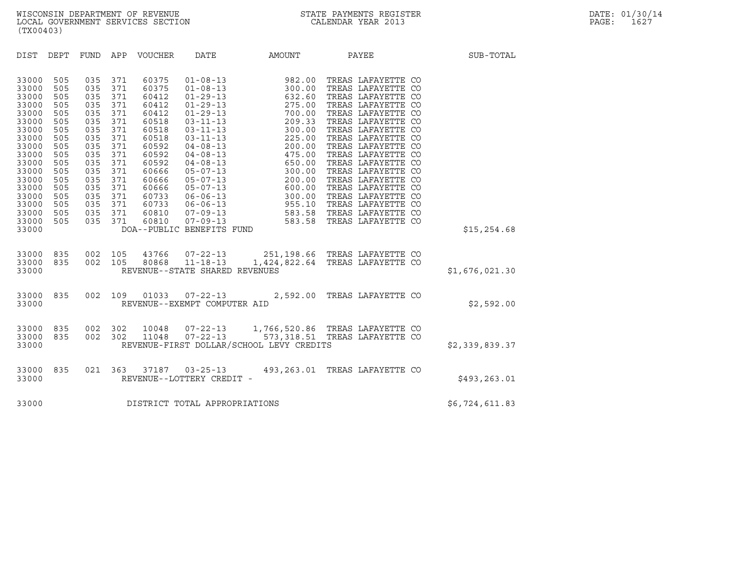| (TX00403)                                                                                                                                                               |                                                                                                                            |                                                                                                                            |                                                                                                                            |                  |                                                |                                          |                                                                                                             |                |
|-------------------------------------------------------------------------------------------------------------------------------------------------------------------------|----------------------------------------------------------------------------------------------------------------------------|----------------------------------------------------------------------------------------------------------------------------|----------------------------------------------------------------------------------------------------------------------------|------------------|------------------------------------------------|------------------------------------------|-------------------------------------------------------------------------------------------------------------|----------------|
| DIST                                                                                                                                                                    | DEPT                                                                                                                       |                                                                                                                            |                                                                                                                            | FUND APP VOUCHER | DATE                                           | AMOUNT                                   | <b>PAYEE</b>                                                                                                | SUB-TOTAL      |
| 33000<br>33000<br>33000<br>33000<br>33000<br>33000<br>33000<br>33000<br>33000<br>33000<br>33000<br>33000<br>33000<br>33000<br>33000<br>33000<br>33000<br>33000<br>33000 | 505<br>505<br>505<br>505<br>505<br>505<br>505<br>505<br>505<br>505<br>505<br>505<br>505<br>505<br>505<br>505<br>505<br>505 | 035<br>035<br>035<br>035<br>035<br>035<br>035<br>035<br>035<br>035<br>035<br>035<br>035<br>035<br>035<br>035<br>035<br>035 | 371<br>371<br>371<br>371<br>371<br>371<br>371<br>371<br>371<br>371<br>371<br>371<br>371<br>371<br>371<br>371<br>371<br>371 | 60810            | DOA--PUBLIC BENEFITS FUND                      |                                          |                                                                                                             | \$15, 254.68   |
| 33000<br>33000<br>33000                                                                                                                                                 | 835<br>835                                                                                                                 |                                                                                                                            |                                                                                                                            |                  | REVENUE--STATE SHARED REVENUES                 |                                          | 002 105 43766 07-22-13 251,198.66 TREAS LAFAYETTE CO 002 105 80868 11-18-13 1,424,822.64 TREAS LAFAYETTE CO | \$1,676,021.30 |
| 33000<br>33000                                                                                                                                                          | 835                                                                                                                        | 002                                                                                                                        | 109                                                                                                                        |                  | 01033 07-22-13<br>REVENUE--EXEMPT COMPUTER AID |                                          | 2,592.00 TREAS LAFAYETTE CO                                                                                 | \$2,592.00     |
| 33000<br>33000<br>33000                                                                                                                                                 | 835<br>835                                                                                                                 |                                                                                                                            | 002 302                                                                                                                    |                  |                                                | REVENUE-FIRST DOLLAR/SCHOOL LEVY CREDITS | 10048  07-22-13  1,766,520.86  TREAS LAFAYETTE CO<br>002 302 11048 07-22-13 573,318.51 TREAS LAFAYETTE CO   | \$2,339,839.37 |
| 33000<br>33000                                                                                                                                                          | 835                                                                                                                        |                                                                                                                            |                                                                                                                            |                  | REVENUE--LOTTERY CREDIT -                      |                                          | 021  363  37187  03-25-13  493, 263.01  TREAS LAFAYETTE CO                                                  | \$493,263.01   |
| 33000                                                                                                                                                                   |                                                                                                                            |                                                                                                                            |                                                                                                                            |                  | DISTRICT TOTAL APPROPRIATIONS                  |                                          |                                                                                                             | \$6,724,611.83 |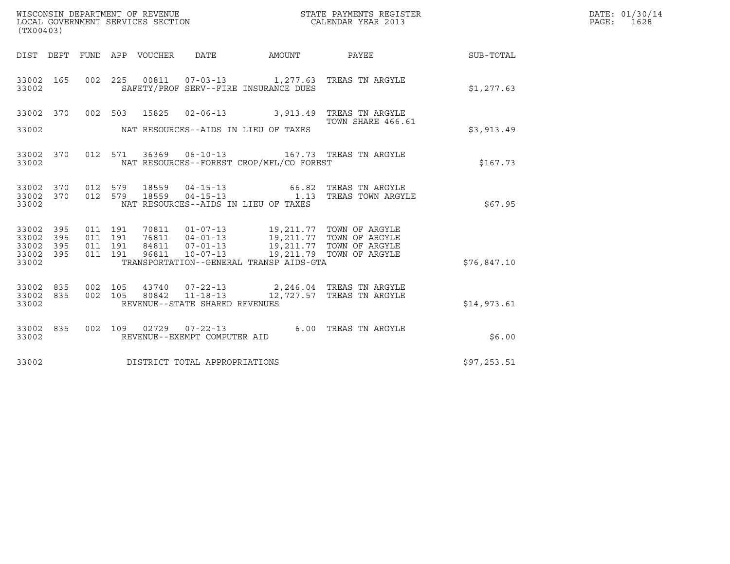| (TX00403)                                     |                   |                               |         |                                 |                                |                                                                                                                                                                                                                                 | $\tt WISCONSIM DEPARTMENT OF REVENUE$ $\tt WISCONMIN SERS THE RUSTER$<br>LOCAL GOVERNMENT SERVICES SECTION $\tt CALENDAR$<br>YEAR 2013 |             | DATE: 01/30/14<br>PAGE: 1628 |
|-----------------------------------------------|-------------------|-------------------------------|---------|---------------------------------|--------------------------------|---------------------------------------------------------------------------------------------------------------------------------------------------------------------------------------------------------------------------------|----------------------------------------------------------------------------------------------------------------------------------------|-------------|------------------------------|
|                                               |                   |                               |         | DIST DEPT FUND APP VOUCHER DATE |                                |                                                                                                                                                                                                                                 | AMOUNT PAYEE SUB-TOTAL                                                                                                                 |             |                              |
| 33002 165<br>33002                            |                   |                               |         |                                 |                                | SAFETY/PROF SERV--FIRE INSURANCE DUES                                                                                                                                                                                           | 002  225  00811  07-03-13  1,277.63  TREAS TN ARGYLE                                                                                   | \$1,277.63  |                              |
| 33002 370                                     |                   |                               |         |                                 |                                |                                                                                                                                                                                                                                 | 002 503 15825 02-06-13 3,913.49 TREAS TN ARGYLE                                                                                        |             |                              |
| 33002                                         |                   |                               |         |                                 |                                | NAT RESOURCES--AIDS IN LIEU OF TAXES                                                                                                                                                                                            | TOWN SHARE 466.61                                                                                                                      | \$3,913.49  |                              |
| 33002 370<br>33002                            |                   |                               | 012 571 |                                 |                                | NAT RESOURCES--FOREST CROP/MFL/CO FOREST                                                                                                                                                                                        | 36369  06-10-13    167.73    TREAS TN ARGYLE                                                                                           | \$167.73    |                              |
| 33002                                         |                   |                               |         |                                 |                                | NAT RESOURCES--AIDS IN LIEU OF TAXES                                                                                                                                                                                            |                                                                                                                                        | \$67.95     |                              |
| 33002 395<br>33002<br>33002<br>33002<br>33002 | 395<br>395<br>395 | 011 191<br>011 191<br>011 191 | 011 191 |                                 |                                | 70811  01-07-13  19,211.77  TOWN OF ARGYLE<br>76811  04-01-13  19,211.77  TOWN OF ARGYLE<br>84811  07-01-13  19,211.77  TOWN OF ARGYLE<br>96811  10-07-13  19,211.79  TOWN OF ARGYLE<br>TRANSPORTATION--GENERAL TRANSP AIDS-GTA |                                                                                                                                        | \$76,847.10 |                              |
| 33002<br>33002 835<br>33002                   | 835               | 002 105                       | 002 105 |                                 | REVENUE--STATE SHARED REVENUES |                                                                                                                                                                                                                                 | 43740  07-22-13  2,246.04 TREAS TN ARGYLE<br>80842  11-18-13  12,727.57  TREAS TN ARGYLE                                               | \$14,973.61 |                              |
| 33002 835<br>33002                            |                   |                               |         |                                 | REVENUE--EXEMPT COMPUTER AID   |                                                                                                                                                                                                                                 | 002 109 02729 07-22-13 6.00 TREAS TN ARGYLE                                                                                            | \$6.00      |                              |
| 33002                                         |                   |                               |         |                                 | DISTRICT TOTAL APPROPRIATIONS  |                                                                                                                                                                                                                                 |                                                                                                                                        | \$97,253.51 |                              |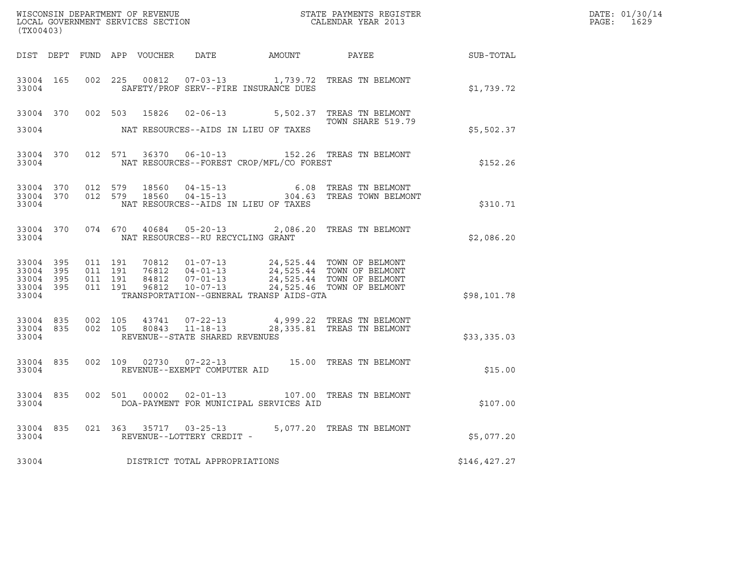| ${\tt WISCOONSIM\ DEPARTMENT\ OF\ REVENUE}\qquad \qquad {\tt STATE\ PAYMENTS\ REGISTER\ LOCAL\ GOVERNMENT\ SERVICES\ SECTION\qquad \qquad {\tt CALENDAR\ YEAR\ 2013}$<br>(TX00403) |                                |                               |         |                |                                                          |                                          |                                                                                                                                                       |              | DATE: 01/30/14<br>$\mathtt{PAGE:}$<br>1629 |
|------------------------------------------------------------------------------------------------------------------------------------------------------------------------------------|--------------------------------|-------------------------------|---------|----------------|----------------------------------------------------------|------------------------------------------|-------------------------------------------------------------------------------------------------------------------------------------------------------|--------------|--------------------------------------------|
|                                                                                                                                                                                    |                                |                               |         |                |                                                          |                                          |                                                                                                                                                       |              |                                            |
| 33004                                                                                                                                                                              | 33004 165                      |                               |         |                |                                                          | SAFETY/PROF SERV--FIRE INSURANCE DUES    | 002  225  00812  07-03-13  1,739.72  TREAS TN BELMONT                                                                                                 | \$1,739.72   |                                            |
| 33004                                                                                                                                                                              |                                |                               |         |                |                                                          | NAT RESOURCES--AIDS IN LIEU OF TAXES     | 33004 370 002 503 15826 02-06-13 5,502.37 TREAS TN BELMONT<br>TOWN SHARE 519.79                                                                       | \$5,502.37   |                                            |
| 33004                                                                                                                                                                              | 33004 370                      |                               |         |                |                                                          | NAT RESOURCES--FOREST CROP/MFL/CO FOREST | 012 571 36370 06-10-13 152.26 TREAS TN BELMONT                                                                                                        | \$152.26     |                                            |
| 33004                                                                                                                                                                              | 33004 370 012 579<br>33004 370 |                               |         |                |                                                          | NAT RESOURCES--AIDS IN LIEU OF TAXES     | 012 579 18560 04-15-13 6.08 TREAS TN BELMONT<br>012 579 18560 04-15-13 304.63 TREAS TOWN BELMONT                                                      | \$310.71     |                                            |
| 33004                                                                                                                                                                              |                                |                               |         |                | NAT RESOURCES--RU RECYCLING GRANT                        |                                          | 33004 370 074 670 40684 05-20-13 2,086.20 TREAS TN BELMONT                                                                                            | \$2,086.20   |                                            |
| 33004 395<br>33004<br>33004 395<br>33004 395<br>33004                                                                                                                              | 395                            | 011 191<br>011 191<br>011 191 | 011 191 | 84812<br>96812 | 76812 04-01-13                                           | TRANSPORTATION--GENERAL TRANSP AIDS-GTA  | 70812  01-07-13  24,525.44  TOWN OF BELMONT<br>04-01-13<br>04-01-13<br>07-01-13<br>24,525.44 TOWN OF BELMONT<br>10-07-13<br>24,525.46 TOWN OF BELMONT | \$98,101.78  |                                            |
| 33004 835<br>33004                                                                                                                                                                 | 33004 835                      | 002 105                       |         |                | 002 105 80843 11-18-13<br>REVENUE--STATE SHARED REVENUES |                                          | 43741  07-22-13  4,999.22  TREAS TN BELMONT<br>28,335.81 TREAS TN BELMONT                                                                             | \$33,335.03  |                                            |
| 33004                                                                                                                                                                              | 33004 835                      |                               |         |                | REVENUE--EXEMPT COMPUTER AID                             |                                          | 002 109 02730 07-22-13 15.00 TREAS TN BELMONT                                                                                                         | \$15.00      |                                            |
| 33004                                                                                                                                                                              |                                |                               |         |                |                                                          | DOA-PAYMENT FOR MUNICIPAL SERVICES AID   | 33004 835 002 501 00002 02-01-13 107.00 TREAS TN BELMONT                                                                                              | \$107.00     |                                            |
| 33004 835<br>33004                                                                                                                                                                 |                                | 021 363                       |         |                | 35717 03-25-13<br>REVENUE--LOTTERY CREDIT -              |                                          | 5,077.20 TREAS TN BELMONT                                                                                                                             | \$5,077.20   |                                            |
| 33004                                                                                                                                                                              |                                |                               |         |                | DISTRICT TOTAL APPROPRIATIONS                            |                                          |                                                                                                                                                       | \$146,427.27 |                                            |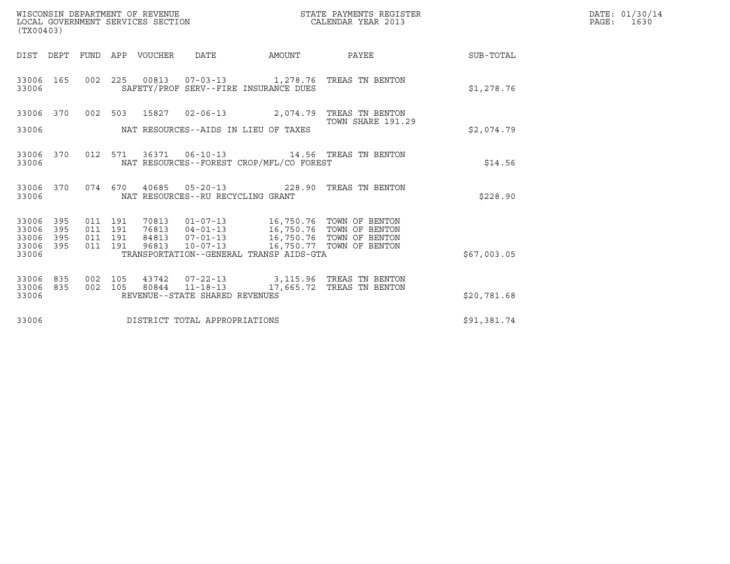| WISCONSIN DEPARTMENT OF REVENUE<br>LOCAL GOVERNMENT SERVICES SECTION | STATE PAYMENTS REGISTER<br>CALENDAR YEAR 2013 | DATE: 01/30/14<br>1630<br>PAGE: |
|----------------------------------------------------------------------|-----------------------------------------------|---------------------------------|

| WISCONSIN DEPARTMENT OF REVENUE<br>STATE PAYMENTS REGISTER<br>CALENDAR YEAR 2013<br>LOCAL GOVERNMENT SERVICES SECTION<br>(TX00403) |            |  |  |               |                                   |                                                                                                                                                                                                                                                                                                                                                            |                                                                                                  | DATE: 01/30/14<br>$\mathtt{PAGE}$ :<br>1630 |  |
|------------------------------------------------------------------------------------------------------------------------------------|------------|--|--|---------------|-----------------------------------|------------------------------------------------------------------------------------------------------------------------------------------------------------------------------------------------------------------------------------------------------------------------------------------------------------------------------------------------------------|--------------------------------------------------------------------------------------------------|---------------------------------------------|--|
|                                                                                                                                    |            |  |  |               |                                   | DIST DEPT FUND APP VOUCHER DATE AMOUNT                                                                                                                                                                                                                                                                                                                     | PAYEE                                                                                            | SUB-TOTAL                                   |  |
| 33006 165<br>33006                                                                                                                 |            |  |  |               |                                   | SAFETY/PROF SERV--FIRE INSURANCE DUES                                                                                                                                                                                                                                                                                                                      | 002 225 00813 07-03-13 1,278.76 TREAS TN BENTON                                                  | \$1,278.76                                  |  |
| 33006 370                                                                                                                          |            |  |  | 002 503 15827 |                                   |                                                                                                                                                                                                                                                                                                                                                            | 02-06-13 2,074.79 TREAS TN BENTON<br>TOWN SHARE 191.29                                           |                                             |  |
| 33006                                                                                                                              |            |  |  |               |                                   | NAT RESOURCES--AIDS IN LIEU OF TAXES                                                                                                                                                                                                                                                                                                                       |                                                                                                  | \$2.074.79                                  |  |
| 33006                                                                                                                              | 33006 370  |  |  |               |                                   | NAT RESOURCES--FOREST CROP/MFL/CO FOREST                                                                                                                                                                                                                                                                                                                   | 012 571 36371 06-10-13 14.56 TREAS TN BENTON                                                     | \$14.56                                     |  |
| 33006 370<br>33006                                                                                                                 |            |  |  |               | NAT RESOURCES--RU RECYCLING GRANT |                                                                                                                                                                                                                                                                                                                                                            | 074 670 40685 05-20-13 228.90 TREAS TN BENTON                                                    | \$228.90                                    |  |
| 33006<br>33006                                                                                                                     | 395<br>395 |  |  |               |                                   |                                                                                                                                                                                                                                                                                                                                                            |                                                                                                  |                                             |  |
| 33006<br>33006 395                                                                                                                 | 395        |  |  |               |                                   | $\begin{array}{cccc} 011 & 191 & 70813 & 01\texttt{-}07\texttt{-}13 \\ 011 & 191 & 76813 & 04\texttt{-}01\texttt{-}13 \\ 011 & 191 & 84813 & 07\texttt{-}01\texttt{-}13 \\ 011 & 191 & 84813 & 07\texttt{-}01\texttt{-}13 \\ 011 & 191 & 96813 & 10\texttt{-}07\texttt{-}13 \\ \end{array} \qquad \quad \begin{array}{c} \text{16,750.76} & \text{TOWN OF$ |                                                                                                  |                                             |  |
| 33006                                                                                                                              |            |  |  |               |                                   | TRANSPORTATION--GENERAL TRANSP AIDS-GTA                                                                                                                                                                                                                                                                                                                    |                                                                                                  | \$67,003.05                                 |  |
| 33006<br>33006 835                                                                                                                 | 835        |  |  |               |                                   |                                                                                                                                                                                                                                                                                                                                                            | 002 105 43742 07-22-13 3,115.96 TREAS TN BENTON 002 105 80844 11-18-13 17,665.72 TREAS TN BENTON |                                             |  |
| 33006                                                                                                                              |            |  |  |               | REVENUE--STATE SHARED REVENUES    |                                                                                                                                                                                                                                                                                                                                                            |                                                                                                  | \$20,781.68                                 |  |
| 33006                                                                                                                              |            |  |  |               | DISTRICT TOTAL APPROPRIATIONS     |                                                                                                                                                                                                                                                                                                                                                            |                                                                                                  | \$91,381.74                                 |  |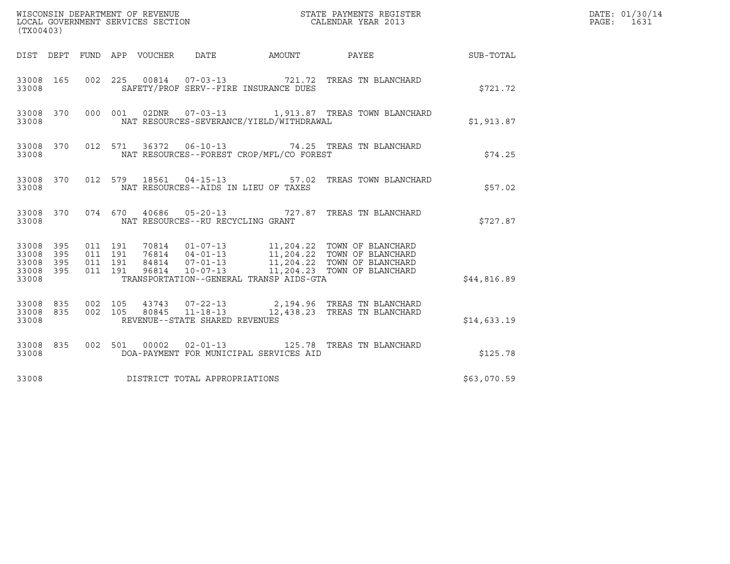| (TX00403)                                                       |                                                                                                                                                                                                                                                                                                   |             | DATE: 01/30/14<br>PAGE: 1631 |
|-----------------------------------------------------------------|---------------------------------------------------------------------------------------------------------------------------------------------------------------------------------------------------------------------------------------------------------------------------------------------------|-------------|------------------------------|
|                                                                 | AMOUNT PAYEE SUB-TOTAL<br>DIST DEPT FUND APP VOUCHER DATE                                                                                                                                                                                                                                         |             |                              |
| 33008 165<br>33008                                              | 00814  07-03-13  721.72  TREAS TN BLANCHARD<br>002 225<br>SAFETY/PROF SERV--FIRE INSURANCE DUES                                                                                                                                                                                                   | \$721.72    |                              |
| 33008 370<br>33008                                              | 000 001 02DNR 07-03-13 1,913.87 TREAS TOWN BLANCHARD<br>NAT RESOURCES-SEVERANCE/YIELD/WITHDRAWAL                                                                                                                                                                                                  | \$1,913.87  |                              |
| 33008 370<br>33008                                              | 012 571 36372 06-10-13 74.25 TREAS TN BLANCHARD<br>NAT RESOURCES--FOREST CROP/MFL/CO FOREST                                                                                                                                                                                                       | \$74.25     |                              |
| 33008 370<br>33008                                              | 012 579 18561 04-15-13 57.02 TREAS TOWN BLANCHARD<br>NAT RESOURCES--AIDS IN LIEU OF TAXES                                                                                                                                                                                                         | \$57.02     |                              |
| 33008                                                           | 33008 370 074 670 40686 05-20-13 727.87 TREAS TN BLANCHARD<br>NAT RESOURCES--RU RECYCLING GRANT                                                                                                                                                                                                   | \$727.87    |                              |
| 33008 395<br>33008<br>395<br>33008<br>395<br>33008 395<br>33008 | 70814  01-07-13   11,204.22   TOWN OF BLANCHARD<br>76814  04-01-13   11,204.22   TOWN OF BLANCHARD<br>84814   07-01-13   11,204.22   TOWN OF BLANCHARD<br>96814   10-07-13   11,204.23   TOWN OF BLANCHARD<br>011 191<br>011 191<br>011 191<br>011 191<br>TRANSPORTATION--GENERAL TRANSP AIDS-GTA | \$44,816.89 |                              |
| 33008                                                           | 33008 835 002 105 43743 07-22-13 2,194.96 TREAS TN BLANCHARD<br>33008 835 002 105 80845 11-18-13 12,438.23 TREAS TN BLANCHARD<br>REVENUE--STATE SHARED REVENUES                                                                                                                                   | \$14,633.19 |                              |
| 33008 835<br>33008                                              | 00002  02-01-13  125.78  TREAS TN BLANCHARD<br>002 501<br>DOA-PAYMENT FOR MUNICIPAL SERVICES AID                                                                                                                                                                                                  | \$125.78    |                              |
| 33008                                                           | DISTRICT TOTAL APPROPRIATIONS                                                                                                                                                                                                                                                                     | \$63,070.59 |                              |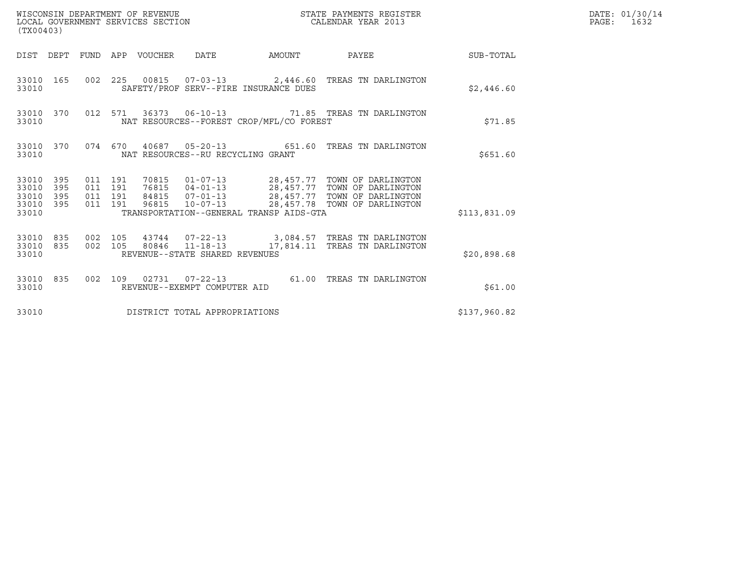| WISCONSIN DEPARTMENT OF REVENUE<br>LOCAL GOVERNMENT SERVICES SECTION<br>(TX00403) |                                                                                                                                                                                                                                                                                             | STATE PAYMENTS REGISTER<br>CALENDAR YEAR 2013 | DATE: 01/30/14<br>PAGE: 1632 |
|-----------------------------------------------------------------------------------|---------------------------------------------------------------------------------------------------------------------------------------------------------------------------------------------------------------------------------------------------------------------------------------------|-----------------------------------------------|------------------------------|
|                                                                                   | DIST DEPT FUND APP VOUCHER DATE                                                                                                                                                                                                                                                             | AMOUNT PAYEE<br><b>SUB-TOTAL</b>              |                              |
| 33010 165<br>33010                                                                | 002 225 00815 07-03-13 2,446.60 TREAS TN DARLINGTON<br>SAFETY/PROF SERV--FIRE INSURANCE DUES                                                                                                                                                                                                | \$2,446.60                                    |                              |
| 33010 370<br>33010                                                                | 012 571 36373 06-10-13 71.85 TREAS TN DARLINGTON<br>NAT RESOURCES--FOREST CROP/MFL/CO FOREST                                                                                                                                                                                                | \$71.85                                       |                              |
| 33010 370<br>33010                                                                | 074  670  40687  05-20-13  651.60  TREAS TN DARLINGTON<br>NAT RESOURCES--RU RECYCLING GRANT                                                                                                                                                                                                 | \$651.60                                      |                              |
| 33010 395<br>33010<br>395<br>33010<br>395<br>33010 395<br>33010                   | 70815  01-07-13  28,457.77  TOWN OF DARLINGTON<br>76815  04-01-13  28,457.77  TOWN OF DARLINGTON<br>011 191<br>011 191<br>84815  07-01-13  28,457.77  TOWN OF DARLINGTON<br>011 191<br>96815  10-07-13  28,457.78  TOWN OF DARLINGTON<br>011 191<br>TRANSPORTATION--GENERAL TRANSP AIDS-GTA | \$113,831.09                                  |                              |
| 33010 835<br>33010 835<br>33010                                                   | 43744  07-22-13  3,084.57  TREAS TN DARLINGTON<br>002 105<br>80846  11-18-13  17,814.11 TREAS TN DARLINGTON<br>002 105<br>REVENUE--STATE SHARED REVENUES                                                                                                                                    | \$20,898.68                                   |                              |
| 33010 835<br>33010                                                                | 002 109 02731 07-22-13 61.00 TREAS TN DARLINGTON<br>REVENUE--EXEMPT COMPUTER AID                                                                                                                                                                                                            | \$61.00                                       |                              |
| 33010                                                                             | DISTRICT TOTAL APPROPRIATIONS                                                                                                                                                                                                                                                               | \$137,960.82                                  |                              |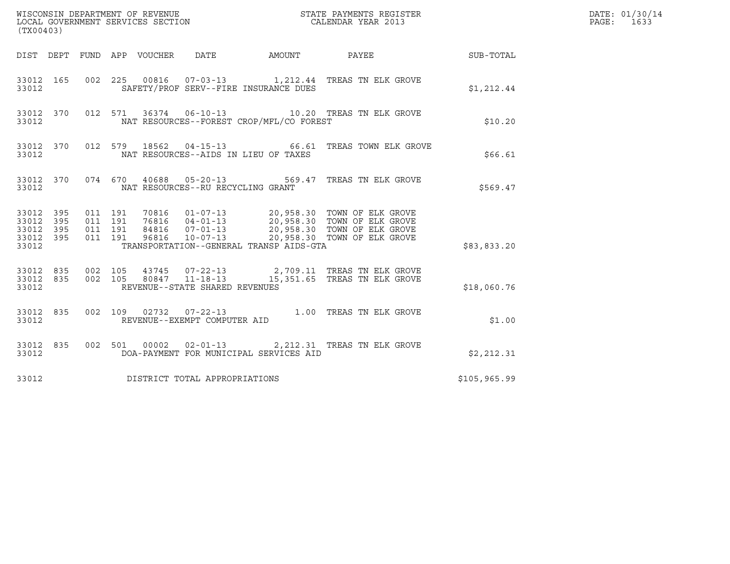| (TX00403)                                             |     |                                          |                                |                                                                                                                                                                                                                                         |              | DATE: 01/30/14<br>PAGE: 1633 |
|-------------------------------------------------------|-----|------------------------------------------|--------------------------------|-----------------------------------------------------------------------------------------------------------------------------------------------------------------------------------------------------------------------------------------|--------------|------------------------------|
|                                                       |     |                                          |                                | DIST DEPT FUND APP VOUCHER DATE AMOUNT PAYEE THE SUB-TOTAL                                                                                                                                                                              |              |                              |
| 33012 165<br>33012                                    |     |                                          |                                | 002 225 00816 07-03-13 1,212.44 TREAS TN ELK GROVE<br>SAFETY/PROF SERV--FIRE INSURANCE DUES                                                                                                                                             | \$1,212.44   |                              |
| 33012 370<br>33012                                    |     |                                          |                                | 012 571 36374 06-10-13 10.20 TREAS TN ELK GROVE<br>NAT RESOURCES--FOREST CROP/MFL/CO FOREST                                                                                                                                             | \$10.20      |                              |
| 33012                                                 |     |                                          |                                | 33012 370 012 579 18562 04-15-13 66.61 TREAS TOWN ELK GROVE<br>NAT RESOURCES--AIDS IN LIEU OF TAXES                                                                                                                                     | \$66.61      |                              |
| 33012                                                 |     |                                          |                                | 33012 370 074 670 40688 05-20-13 569.47 TREAS TN ELK GROVE<br>NAT RESOURCES--RU RECYCLING GRANT                                                                                                                                         | \$569.47     |                              |
| 33012 395<br>33012 395<br>33012<br>33012 395<br>33012 | 395 | 011 191<br>011 191<br>011 191<br>011 191 |                                | 70816  01-07-13  20,958.30 TOWN OF ELK GROVE<br>76816  04-01-13  20,958.30 TOWN OF ELK GROVE<br>84816  07-01-13  20,958.30 TOWN OF ELK GROVE<br>96816  10-07-13  20,958.30 TOWN OF ELK GROVE<br>TRANSPORTATION--GENERAL TRANSP AIDS-GTA | \$83,833.20  |                              |
| 33012 835 002 105<br>33012 835<br>33012               |     |                                          | REVENUE--STATE SHARED REVENUES | 002 105 43745 07-22-13 2,709.11 TREAS TN ELK GROVE 002 105 80847 11-18-13 15,351.65 TREAS TN ELK GROVE                                                                                                                                  | \$18,060.76  |                              |
| 33012 835<br>33012                                    |     |                                          | REVENUE--EXEMPT COMPUTER AID   | 002 109 02732 07-22-13 1.00 TREAS TN ELK GROVE                                                                                                                                                                                          | \$1.00       |                              |
| 33012 835<br>33012                                    |     |                                          |                                | 002 501 00002 02-01-13 2,212.31 TREAS TN ELK GROVE<br>DOA-PAYMENT FOR MUNICIPAL SERVICES AID                                                                                                                                            | \$2,212.31   |                              |
| 33012                                                 |     |                                          | DISTRICT TOTAL APPROPRIATIONS  |                                                                                                                                                                                                                                         | \$105,965.99 |                              |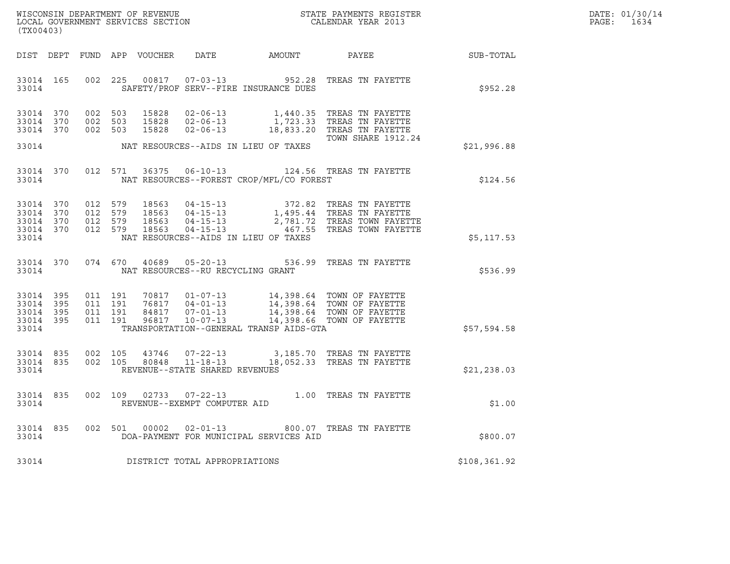| WISCONSIN DEPARTMENT OF REVENUE   | STATE PAYMENTS REGISTER | DATE: 01/30/14 |
|-----------------------------------|-------------------------|----------------|
| LOCAL GOVERNMENT SERVICES SECTION | CALENDAR YEAR 2013      | 1634<br>PAGE:  |

| (TX00403)                           |  |                         |                                         |                                               | WISCONSIN DEPARTMENT OF REVENUE<br>LOCAL GOVERNMENT SERVICES SECTION THE STATE PAYMENTS REGISTER<br>(TYA04403)                                                                                                                                                                                                   | $\mathbb{E} \mathbb{R}^n$ | DATE: 01/30/14<br>PAGE:<br>1634 |
|-------------------------------------|--|-------------------------|-----------------------------------------|-----------------------------------------------|------------------------------------------------------------------------------------------------------------------------------------------------------------------------------------------------------------------------------------------------------------------------------------------------------------------|---------------------------|---------------------------------|
|                                     |  |                         |                                         |                                               | DIST DEPT FUND APP VOUCHER DATE AMOUNT PAYEE SUB-TOTAL                                                                                                                                                                                                                                                           |                           |                                 |
|                                     |  |                         |                                         |                                               | 33014 165 002 225 00817 07-03-13 952.28 TREAS TN FAYETTE<br>33014 SAFETY/PROF SERV--FIRE INSURANCE DUES                                                                                                                                                                                                          | \$952.28                  |                                 |
| 33014 370<br>33014 370<br>33014 370 |  |                         |                                         |                                               | 002 503 15828 02-06-13 1,440.35 TREAS TN FAYETTE<br>002 503 15828 02-06-13 1,723.33 TREAS TN FAYETTE<br>002 503 15828 02-06-13 18,833.20 TREAS TN FAYETTE<br><b>TOWN SHARE 1912.24</b>                                                                                                                           |                           |                                 |
|                                     |  |                         |                                         | 33014 NAT RESOURCES--AIDS IN LIEU OF TAXES    |                                                                                                                                                                                                                                                                                                                  | \$21,996.88               |                                 |
|                                     |  | 33014 370 012 571 36375 |                                         |                                               | 06-10-13 124.56 TREAS TN FAYETTE<br>33014 NAT RESOURCES--FOREST CROP/MFL/CO FOREST                                                                                                                                                                                                                               | \$124.56                  |                                 |
| 33014                               |  |                         |                                         | NAT RESOURCES--AIDS IN LIEU OF TAXES          | 33014 370 012 579 18563 04-15-13 372.82 TREAS TN FAYETTE<br>33014 370 012 579 18563 04-15-13 1,495.44 TREAS TN FAYETTE<br>33014 370 012 579 18563 04-15-13 2,781.72 TREAS TOWN FAYETTE<br>33014 370 012 579 18563 04-15-13 467.55 TREAS                                                                          | \$5,117.53                |                                 |
|                                     |  |                         | 33014 NAT RESOURCES--RU RECYCLING GRANT |                                               | 33014 370 074 670 40689 05-20-13 536.99 TREAS TN FAYETTE                                                                                                                                                                                                                                                         | FAYETTE \$536.99          |                                 |
|                                     |  |                         |                                         | 33014 TRANSPORTATION--GENERAL TRANSP AIDS-GTA | $\begin{array}{cccccccc} 33014 & 395 & 011 & 191 & 70817 & 01-07-13 & 14,398.64 & \text{TOWN OF FAYETTE} \\ 33014 & 395 & 011 & 191 & 76817 & 04-01-13 & 14,398.64 & \text{TOWN OF FAYETTE} \\ 33014 & 395 & 011 & 191 & 84817 & 07-01-13 & 14,398.64 & \text{TOWN OF FAYETTE} \\ 33014 & 395 & 011 & 191 & 968$ | \$57,594.58               |                                 |
| 33014                               |  |                         | REVENUE--STATE SHARED REVENUES          |                                               | $\begin{array}{cccccc} 33014 & 835 & 002 & 105 & 43746 & 07-22-13 & & 3,185.70 & \text{TREAS TN FAYETTE} \\ 33014 & 835 & 002 & 105 & 80848 & 11-18-13 & & 18,052.33 & \text{TREAS TN FAYETTE} \end{array}$                                                                                                      | \$21,238.03               |                                 |
|                                     |  |                         |                                         |                                               | $\begin{tabular}{lllllll} 33014 & 835 & 002 & 109 & 02733 & 07-22-13 & & & 1.00 & \text{TREAS TN FAYETTE} \\ 33014 & & & \text{REVENUE--EXEMPT COMPUTER AID & & & & \end{tabular}$                                                                                                                               | \$1.00                    |                                 |
|                                     |  |                         |                                         |                                               | 33014 835 002 501 00002 02-01-13 800.07 TREAS TN FAYETTE<br>33014 835 002 501 00002 02-01-13 800.07 TREAS TN FAYETTE<br>33014 DOA-PAYMENT FOR MUNICIPAL SERVICES AID                                                                                                                                             |                           |                                 |
|                                     |  |                         | 33014 DISTRICT TOTAL APPROPRIATIONS     |                                               |                                                                                                                                                                                                                                                                                                                  | \$108, 361.92             |                                 |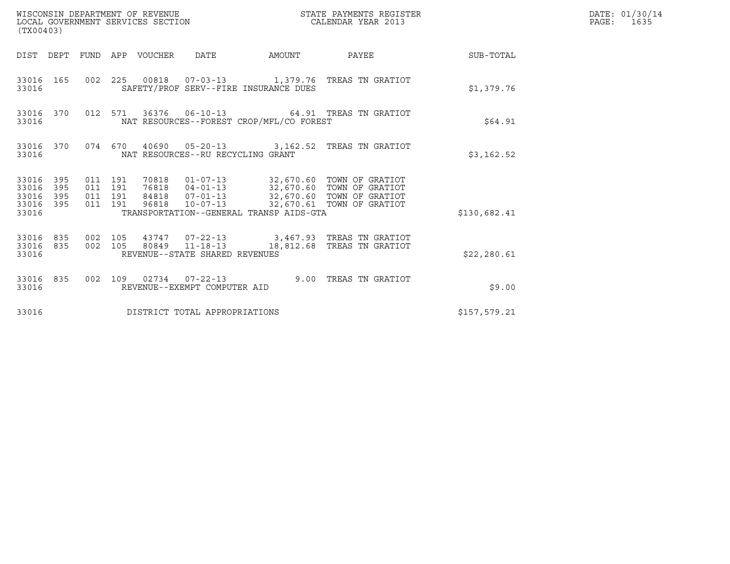| WISCONSIN DEPARTMENT OF REVENUE<br>(TX00403)                    | LOCAL GOVERNMENT SERVICES SECTION<br>CALENDAR YEAR 2013                                                                                                                                                                                                                      | STATE PAYMENTS REGISTER | DATE: 01/30/14<br>PAGE: 1635 |
|-----------------------------------------------------------------|------------------------------------------------------------------------------------------------------------------------------------------------------------------------------------------------------------------------------------------------------------------------------|-------------------------|------------------------------|
|                                                                 | DIST DEPT FUND APP VOUCHER DATE                                                                                                                                                                                                                                              | AMOUNT PAYEE SUB-TOTAL  |                              |
| 33016 165<br>33016                                              | 002 225 00818 07-03-13 1,379.76 TREAS TN GRATIOT<br>SAFETY/PROF SERV--FIRE INSURANCE DUES                                                                                                                                                                                    | \$1,379.76              |                              |
| 33016 370<br>33016                                              | 012 571 36376 06-10-13 64.91 TREAS TN GRATIOT<br>NAT RESOURCES--FOREST CROP/MFL/CO FOREST                                                                                                                                                                                    | \$64.91                 |                              |
| 33016                                                           | 33016 370 074 670 40690 05-20-13 3,162.52 TREAS TN GRATIOT<br>NAT RESOURCES--RU RECYCLING GRANT                                                                                                                                                                              | \$3,162.52              |                              |
| 33016 395<br>33016<br>395<br>33016<br>395<br>33016 395<br>33016 | 70818  01-07-13  32,670.60 TOWN OF GRATIOT<br>76818  04-01-13  32,670.60 TOWN OF GRATIOT<br>011 191<br>011 191<br>84818  07-01-13  32,670.60 TOWN OF GRATIOT<br>011 191<br>10-07-13 32,670.61 TOWN OF GRATIOT<br>011 191<br>96818<br>TRANSPORTATION--GENERAL TRANSP AIDS-GTA | \$130,682.41            |                              |
| 33016 835 002 105<br>33016 835<br>33016                         | 43747  07-22-13  3,467.93  TREAS TN GRATIOT<br>002 105 80849 11-18-13<br>18,812.68 TREAS TN GRATIOT<br>REVENUE--STATE SHARED REVENUES                                                                                                                                        | \$22, 280.61            |                              |
| 33016 835<br>33016                                              | 002 109 02734 07-22-13 9.00 TREAS TN GRATIOT<br>REVENUE--EXEMPT COMPUTER AID                                                                                                                                                                                                 | \$9.00                  |                              |
| 33016                                                           | DISTRICT TOTAL APPROPRIATIONS                                                                                                                                                                                                                                                | \$157,579.21            |                              |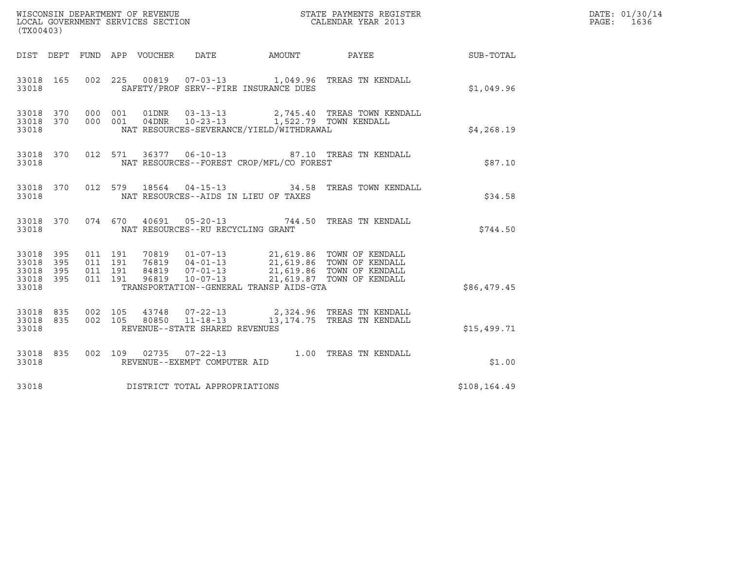| ${\tt WISCOONSIM\ DEPARTMENT\ OF\ REVENUE}\qquad \qquad {\tt STATE\ PAYMENTS\ REGISTER\ LOCAL\ GOVERNMENT\ SERVICES\ SECTION\qquad \qquad {\tt CALENDAR\ YEAR\ 2013}$<br>(TX00403) |                   |                    |                    |  |                                   |                                          |                                                                                                                                                                                                      |              | DATE: 01/30/14<br>PAGE: 1636 |
|------------------------------------------------------------------------------------------------------------------------------------------------------------------------------------|-------------------|--------------------|--------------------|--|-----------------------------------|------------------------------------------|------------------------------------------------------------------------------------------------------------------------------------------------------------------------------------------------------|--------------|------------------------------|
|                                                                                                                                                                                    |                   |                    |                    |  |                                   |                                          |                                                                                                                                                                                                      |              |                              |
| 33018 165<br>33018                                                                                                                                                                 |                   |                    |                    |  |                                   | SAFETY/PROF SERV--FIRE INSURANCE DUES    | 002  225  00819  07-03-13  1,049.96  TREAS TN KENDALL                                                                                                                                                | \$1,049.96   |                              |
| 33018                                                                                                                                                                              |                   |                    |                    |  |                                   | NAT RESOURCES-SEVERANCE/YIELD/WITHDRAWAL |                                                                                                                                                                                                      | \$4,268.19   |                              |
| 33018 370<br>33018                                                                                                                                                                 |                   |                    |                    |  |                                   | NAT RESOURCES--FOREST CROP/MFL/CO FOREST | 012 571 36377 06-10-13 87.10 TREAS TN KENDALL                                                                                                                                                        | \$87.10      |                              |
| 33018 370<br>33018                                                                                                                                                                 |                   |                    |                    |  |                                   | NAT RESOURCES--AIDS IN LIEU OF TAXES     | 012 579 18564 04-15-13 34.58 TREAS TOWN KENDALL                                                                                                                                                      | \$34.58      |                              |
| 33018 370<br>33018                                                                                                                                                                 |                   |                    |                    |  | NAT RESOURCES--RU RECYCLING GRANT |                                          | 074 670 40691 05-20-13 744.50 TREAS TN KENDALL                                                                                                                                                       | \$744.50     |                              |
| 33018 395<br>33018<br>33018<br>33018<br>33018                                                                                                                                      | 395<br>395<br>395 | 011 191<br>011 191 | 011 191<br>011 191 |  |                                   | TRANSPORTATION--GENERAL TRANSP AIDS-GTA  | 70819   01-07-13   21,619.86   TOWN OF KENDALL<br>76819   04-01-13   21,619.86   TOWN OF KENDALL<br>84819   07-01-13   21,619.86   TOWN OF KENDALL<br>96819   10-07-13   21,619.87   TOWN OF KENDALL | \$86,479.45  |                              |
| 33018 835<br>33018 835<br>33018                                                                                                                                                    |                   |                    |                    |  | REVENUE--STATE SHARED REVENUES    |                                          | 002 105  43748  07-22-13  2,324.96 TREAS TN KENDALL  002  105  80850  11-18-13  13,174.75 TREAS TN KENDALL                                                                                           | \$15,499.71  |                              |
| 33018 835<br>33018                                                                                                                                                                 |                   |                    |                    |  | REVENUE--EXEMPT COMPUTER AID      |                                          | 002 109 02735 07-22-13 1.00 TREAS TN KENDALL                                                                                                                                                         | \$1.00       |                              |
| 33018                                                                                                                                                                              |                   |                    |                    |  | DISTRICT TOTAL APPROPRIATIONS     |                                          |                                                                                                                                                                                                      | \$108,164.49 |                              |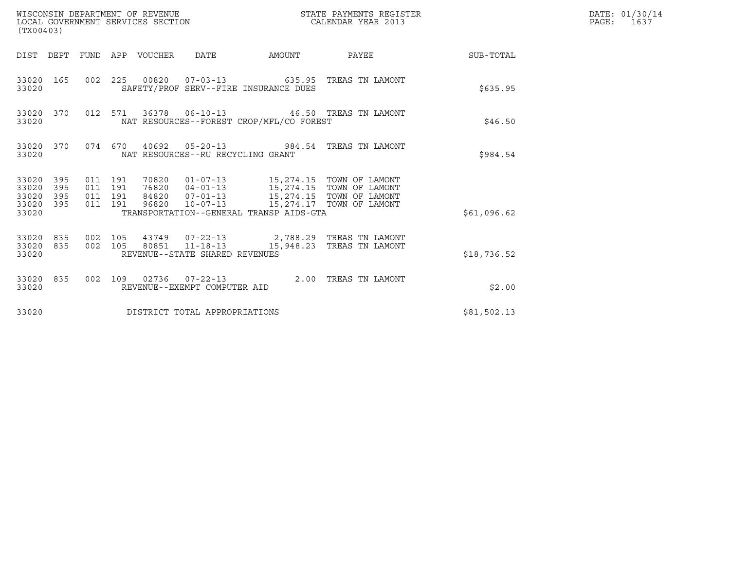| (TX00403)                                                    | WISCONSIN DEPARTMENT OF REVENUE<br>LOCAL GOVERNMENT SERVICES SECTION                                                                                                                                                                                                        | STATE PAYMENTS REGISTER<br>CALENDAR YEAR 2013 | DATE: 01/30/14<br>PAGE: 1637 |
|--------------------------------------------------------------|-----------------------------------------------------------------------------------------------------------------------------------------------------------------------------------------------------------------------------------------------------------------------------|-----------------------------------------------|------------------------------|
|                                                              | DIST DEPT FUND APP VOUCHER DATE                                                                                                                                                                                                                                             | AMOUNT PAYEE SUB-TOTAL                        |                              |
| 33020 165<br>33020                                           | 002 225 00820 07-03-13 635.95 TREAS TN LAMONT<br>SAFETY/PROF SERV--FIRE INSURANCE DUES                                                                                                                                                                                      | \$635.95                                      |                              |
| 33020 370<br>33020                                           | 012 571 36378 06-10-13 46.50 TREAS TN LAMONT<br>NAT RESOURCES--FOREST CROP/MFL/CO FOREST                                                                                                                                                                                    | \$46.50                                       |                              |
| 33020                                                        | 33020 370 074 670 40692 05-20-13 984.54 TREAS TN LAMONT<br>NAT RESOURCES--RU RECYCLING GRANT                                                                                                                                                                                | \$984.54                                      |                              |
| 33020 395<br>33020<br>395<br>33020 395<br>33020 395<br>33020 | 70820  01-07-13  15,274.15  TOWN OF LAMONT<br>76820  04-01-13  15,274.15  TOWN OF LAMONT<br>84820  07-01-13  15,274.15  TOWN OF LAMONT<br>011 191<br>011 191<br>011 191<br>96820  10-07-13  15,274.17  TOWN OF LAMONT<br>011 191<br>TRANSPORTATION--GENERAL TRANSP AIDS-GTA | \$61,096.62                                   |                              |
| 33020 835<br>33020                                           | 33020 835 002 105 43749 07-22-13 2,788.29 TREAS TN LAMONT<br>002 105 80851 11-18-13 15,948.23 TREAS TN LAMONT<br>REVENUE--STATE SHARED REVENUES                                                                                                                             | \$18,736.52                                   |                              |
| 33020 835<br>33020                                           | 002 109 02736 07-22-13 2.00 TREAS TN LAMONT<br>REVENUE--EXEMPT COMPUTER AID                                                                                                                                                                                                 | \$2.00                                        |                              |
| 33020                                                        | DISTRICT TOTAL APPROPRIATIONS                                                                                                                                                                                                                                               | \$81,502.13                                   |                              |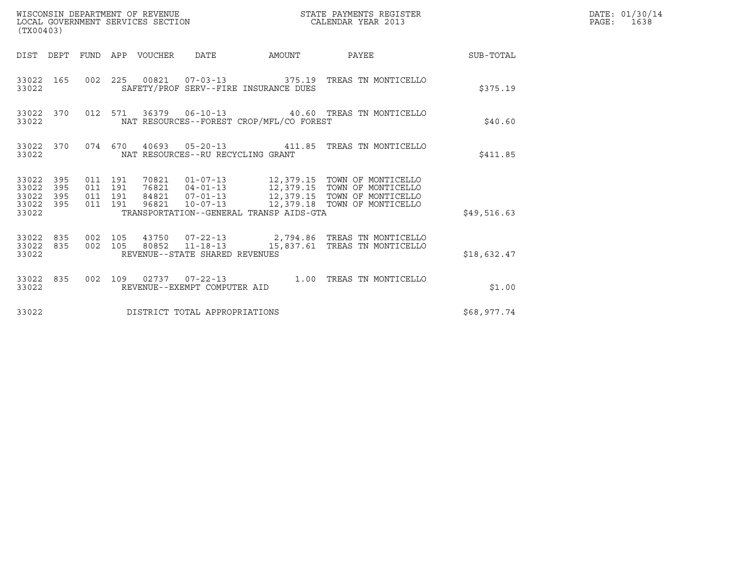| (TX00403)                                         |            |                                          |                                 | WISCONSIN DEPARTMENT OF REVENUE<br>LOCAL GOVERNMENT SERVICES SECTION |                                          | STATE PAYMENTS REGISTER<br>CALENDAR YEAR 2013                                                                                                                                                        |             | DATE: 01/30/14<br>PAGE: 1638 |
|---------------------------------------------------|------------|------------------------------------------|---------------------------------|----------------------------------------------------------------------|------------------------------------------|------------------------------------------------------------------------------------------------------------------------------------------------------------------------------------------------------|-------------|------------------------------|
|                                                   |            |                                          | DIST DEPT FUND APP VOUCHER DATE |                                                                      |                                          | AMOUNT PAYEE SUB-TOTAL                                                                                                                                                                               |             |                              |
| 33022 165<br>33022                                |            |                                          |                                 |                                                                      | SAFETY/PROF SERV--FIRE INSURANCE DUES    | 002  225  00821  07-03-13  375.19  TREAS TN MONTICELLO                                                                                                                                               | \$375.19    |                              |
| 33022 370<br>33022                                |            |                                          |                                 |                                                                      | NAT RESOURCES--FOREST CROP/MFL/CO FOREST | 012 571 36379 06-10-13 40.60 TREAS TN MONTICELLO                                                                                                                                                     | \$40.60     |                              |
| 33022                                             |            |                                          |                                 | NAT RESOURCES--RU RECYCLING GRANT                                    |                                          | 33022 370 074 670 40693 05-20-13 411.85 TREAS TN MONTICELLO                                                                                                                                          | \$411.85    |                              |
| 33022 395<br>33022<br>33022<br>33022 395<br>33022 | 395<br>395 | 011 191<br>011 191<br>011 191<br>011 191 |                                 |                                                                      | TRANSPORTATION--GENERAL TRANSP AIDS-GTA  | 70821  01-07-13  12,379.15  TOWN OF MONTICELLO<br>76821  04-01-13  12,379.15  TOWN OF MONTICELLO<br>84821  07-01-13  12,379.15  TOWN OF MONTICELLO<br>96821  10-07-13  12,379.18  TOWN OF MONTICELLO | \$49,516.63 |                              |
| 33022 835 002 105<br>33022 835<br>33022           |            |                                          |                                 | REVENUE--STATE SHARED REVENUES                                       |                                          | 43750  07-22-13  2,794.86  TREAS TN MONTICELLO<br>002 105 80852 11-18-13 15,837.61 TREAS TN MONTICELLO                                                                                               | \$18,632.47 |                              |
| 33022 835<br>33022                                |            |                                          |                                 | REVENUE--EXEMPT COMPUTER AID                                         |                                          | 002 109 02737 07-22-13 1.00 TREAS TN MONTICELLO                                                                                                                                                      | \$1.00      |                              |
| 33022                                             |            |                                          |                                 | DISTRICT TOTAL APPROPRIATIONS                                        |                                          |                                                                                                                                                                                                      | \$68,977.74 |                              |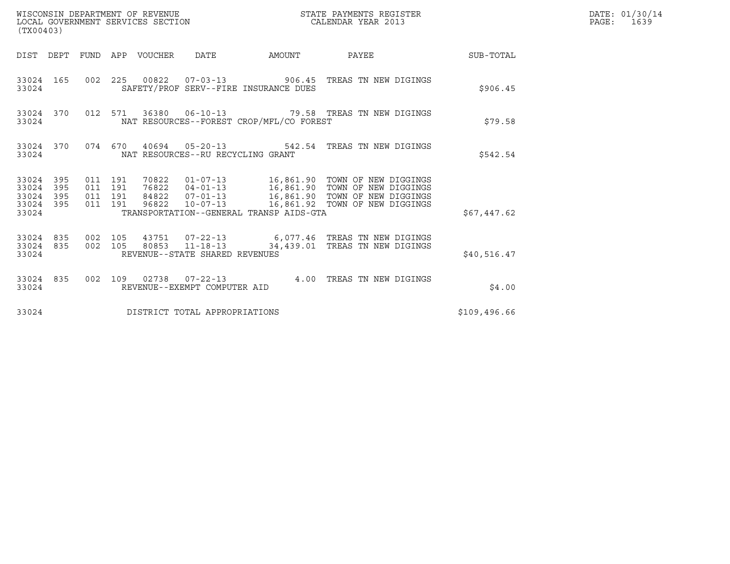| (TX00403)                            |                         |                    |                    | WISCONSIN DEPARTMENT OF REVENUE<br>LOCAL GOVERNMENT SERVICES SECTION |                                                  |                                          | STATE PAYMENTS REGISTER<br>CALENDAR YEAR 2013                                                 |              | DATE: 01/30/14<br>PAGE: 1639 |
|--------------------------------------|-------------------------|--------------------|--------------------|----------------------------------------------------------------------|--------------------------------------------------|------------------------------------------|-----------------------------------------------------------------------------------------------|--------------|------------------------------|
|                                      |                         |                    |                    | DIST DEPT FUND APP VOUCHER DATE                                      |                                                  |                                          | AMOUNT PAYEE SUB-TOTAL                                                                        |              |                              |
| 33024                                | 33024 165               |                    |                    |                                                                      |                                                  | SAFETY/PROF SERV--FIRE INSURANCE DUES    | 002  225  00822  07-03-13  906.45  TREAS TN NEW DIGINGS                                       | \$906.45     |                              |
| 33024                                | 33024 370               |                    |                    |                                                                      |                                                  | NAT RESOURCES--FOREST CROP/MFL/CO FOREST | 012 571 36380 06-10-13 79.58 TREAS TN NEW DIGINGS                                             | \$79.58      |                              |
| 33024                                | 33024 370               |                    |                    |                                                                      | NAT RESOURCES--RU RECYCLING GRANT                |                                          | 074 670 40694 05-20-13 542.54 TREAS TN NEW DIGINGS                                            | \$542.54     |                              |
| 33024 395<br>33024<br>33024<br>33024 | 395<br>395<br>33024 395 | 011 191<br>011 191 | 011 191<br>011 191 | 96822                                                                |                                                  | TRANSPORTATION--GENERAL TRANSP AIDS-GTA  | 84822  07-01-13   16,861.90   TOWN OF NEW DIGGINGS<br>10-07-13 16,861.92 TOWN OF NEW DIGGINGS | \$67,447.62  |                              |
| 33024                                | 33024 835<br>33024 835  | 002 105            | 002 105            |                                                                      | 80853 11-18-13<br>REVENUE--STATE SHARED REVENUES |                                          | 43751  07-22-13   6,077.46   TREAS TN NEW DIGINGS<br>34,439.01 TREAS TN NEW DIGINGS           | \$40,516.47  |                              |
| 33024                                | 33024 835               |                    |                    |                                                                      | REVENUE--EXEMPT COMPUTER AID                     |                                          | 002 109 02738 07-22-13 4.00 TREAS TN NEW DIGINGS                                              | \$4.00       |                              |
| 33024                                |                         |                    |                    |                                                                      | DISTRICT TOTAL APPROPRIATIONS                    |                                          |                                                                                               | \$109,496.66 |                              |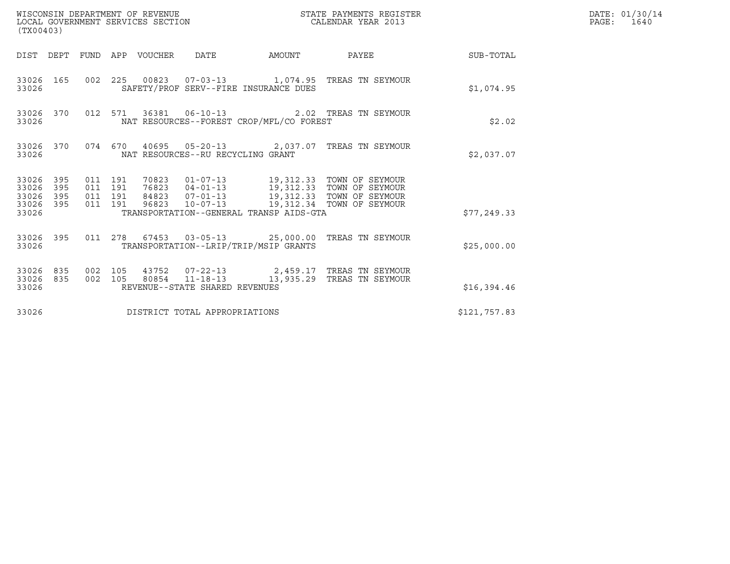| (TX00403)                                                                                          | WISCONSIN DEPARTMENT OF REVENUE<br>LOCAL GOVERNMENT SERVICES SECTION                                                                                                                     | STATE PAYMENTS REGISTER<br>CALENDAR YEAR 2013 |              | DATE: 01/30/14<br>PAGE: 1640 |
|----------------------------------------------------------------------------------------------------|------------------------------------------------------------------------------------------------------------------------------------------------------------------------------------------|-----------------------------------------------|--------------|------------------------------|
|                                                                                                    | DIST DEPT FUND APP VOUCHER DATE AMOUNT PAYEE TO SUB-TOTAL                                                                                                                                |                                               |              |                              |
| 33026                                                                                              | 33026 165 002 225 00823 07-03-13 1,074.95 TREAS TN SEYMOUR<br>SAFETY/PROF SERV--FIRE INSURANCE DUES                                                                                      |                                               | \$1,074.95   |                              |
| 33026                                                                                              | 33026 370 012 571 36381 06-10-13 2.02 TREAS TN SEYMOUR<br>NAT RESOURCES--FOREST CROP/MFL/CO FOREST                                                                                       |                                               | \$2.02       |                              |
| 33026                                                                                              | 33026 370 074 670 40695 05-20-13 2,037.07 TREAS TN SEYMOUR<br>NAT RESOURCES--RU RECYCLING GRANT                                                                                          |                                               | \$2,037.07   |                              |
| 33026 395<br>011 191<br>011 191<br>33026<br>395<br>011 191<br>33026<br>395<br>33026 395<br>011 191 | 70823  01-07-13  19,312.33  TOWN OF SEYMOUR<br>76823  04-01-13  19,312.33  TOWN OF SEYMOUR<br>84823  07-01-13  19,312.33  TOWN OF SEYMOUR<br>96823  10-07-13  19,312.34  TOWN OF SEYMOUR |                                               |              |                              |
| 33026                                                                                              | TRANSPORTATION--GENERAL TRANSP AIDS-GTA                                                                                                                                                  |                                               | \$77, 249.33 |                              |
| 33026                                                                                              | 33026 395 011 278 67453 03-05-13 25,000.00 TREAS TN SEYMOUR<br>TRANSPORTATION--LRIP/TRIP/MSIP GRANTS                                                                                     |                                               | \$25,000.00  |                              |
| 33026 835<br>33026 835<br>33026                                                                    | 002 105 43752 07-22-13 2,459.17 TREAS TN SEYMOUR<br>002 105 80854 11-18-13 13,935.29 TREAS TN SEYMOUR<br>REVENUE--STATE SHARED REVENUES                                                  |                                               | \$16,394.46  |                              |
| 33026                                                                                              | DISTRICT TOTAL APPROPRIATIONS                                                                                                                                                            |                                               | \$121,757.83 |                              |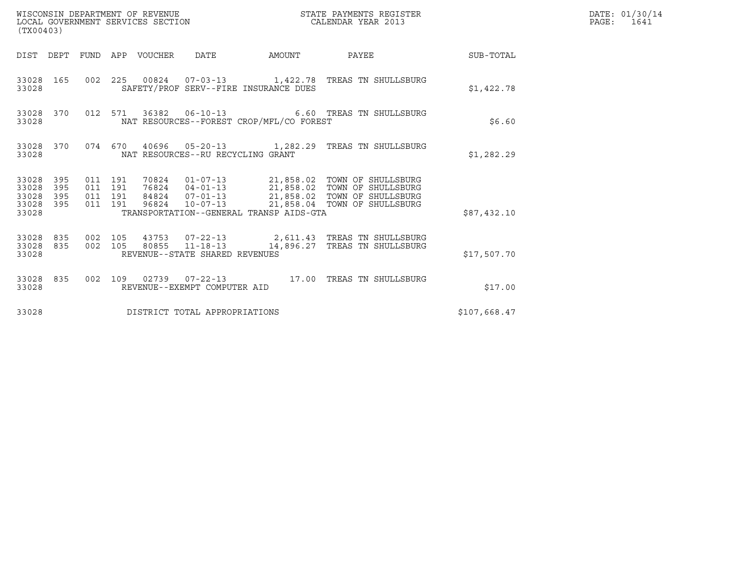| (TX00403)                                         |            |                               |         |                                 | WISCONSIN DEPARTMENT OF REVENUE<br>LOCAL GOVERNMENT SERVICES SECTION |                                          | STATE PAYMENTS REGISTER<br>CALENDAR YEAR 2013                                                                                                                                                                     |              | DATE: 01/30/14<br>PAGE: 1641 |
|---------------------------------------------------|------------|-------------------------------|---------|---------------------------------|----------------------------------------------------------------------|------------------------------------------|-------------------------------------------------------------------------------------------------------------------------------------------------------------------------------------------------------------------|--------------|------------------------------|
|                                                   |            |                               |         | DIST DEPT FUND APP VOUCHER DATE |                                                                      |                                          | AMOUNT PAYEE SUB-TOTAL                                                                                                                                                                                            |              |                              |
| 33028 165<br>33028                                |            |                               |         |                                 |                                                                      | SAFETY/PROF SERV--FIRE INSURANCE DUES    | 002  225  00824  07-03-13   1,422.78  TREAS TN SHULLSBURG                                                                                                                                                         | \$1,422.78   |                              |
| 33028 370<br>33028                                |            |                               |         |                                 |                                                                      | NAT RESOURCES--FOREST CROP/MFL/CO FOREST | 012 571 36382 06-10-13 6.60 TREAS TN SHULLSBURG                                                                                                                                                                   | \$6.60       |                              |
| 33028                                             |            |                               |         |                                 | NAT RESOURCES--RU RECYCLING GRANT                                    |                                          | 33028 370 074 670 40696 05-20-13 1,282.29 TREAS TN SHULLSBURG                                                                                                                                                     | \$1,282.29   |                              |
| 33028 395<br>33028<br>33028<br>33028 395<br>33028 | 395<br>395 | 011 191<br>011 191<br>011 191 | 011 191 |                                 |                                                                      | TRANSPORTATION--GENERAL TRANSP AIDS-GTA  | 70824  01-07-13  21,858.02  TOWN OF SHULLSBURG<br>76824  04-01-13  21,858.02  TOWN OF SHULLSBURG<br>84824  07-01-13  21,858.02  TOWN OF SHULLSBURG<br>96824  10-07-13  21,858.04  TOWN OF SHULLSBURG              | \$87,432.10  |                              |
| 33028                                             |            |                               |         |                                 | REVENUE--STATE SHARED REVENUES                                       |                                          | $\begin{array}{cccccc} 33028 & 835 & 002 & 105 & 43753 & 07-22-13 & & 2,611.43 & \text{TREAS TN SHULLSBURG} \\ 33028 & 835 & 002 & 105 & 80855 & 11-18-13 & & 14,896.27 & \text{TREAS TN SHULLSBURG} \end{array}$ | \$17,507.70  |                              |
| 33028                                             |            |                               |         |                                 | REVENUE--EXEMPT COMPUTER AID                                         |                                          | 33028 835 002 109 02739 07-22-13 17.00 TREAS TN SHULLSBURG                                                                                                                                                        | \$17.00      |                              |
| 33028                                             |            |                               |         |                                 | DISTRICT TOTAL APPROPRIATIONS                                        |                                          |                                                                                                                                                                                                                   | \$107,668.47 |                              |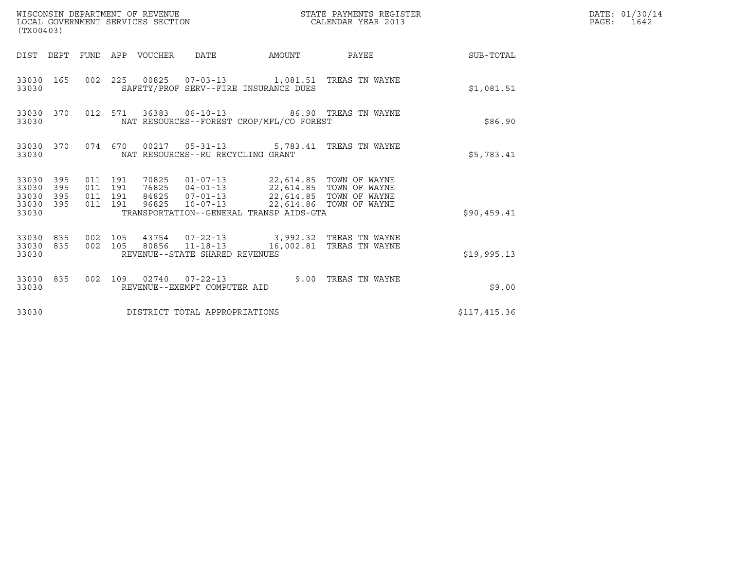| (TX00403)                                         |            |                                          | WISCONSIN DEPARTMENT OF REVENUE<br>LOCAL GOVERNMENT SERVICES SECTION |                                                  |                                                                                                                                                                                                                    | STATE PAYMENTS REGISTER<br>CALENDAR YEAR 2013 |                        | DATE: 01/30/14<br>PAGE: 1642 |
|---------------------------------------------------|------------|------------------------------------------|----------------------------------------------------------------------|--------------------------------------------------|--------------------------------------------------------------------------------------------------------------------------------------------------------------------------------------------------------------------|-----------------------------------------------|------------------------|------------------------------|
|                                                   |            |                                          | DIST DEPT FUND APP VOUCHER DATE                                      |                                                  |                                                                                                                                                                                                                    |                                               | AMOUNT PAYEE SUB-TOTAL |                              |
| 33030 165<br>33030                                |            |                                          |                                                                      |                                                  | 002 225 00825 07-03-13 1,081.51 TREAS TN WAYNE<br>SAFETY/PROF SERV--FIRE INSURANCE DUES                                                                                                                            |                                               | \$1,081.51             |                              |
| 33030 370<br>33030                                |            |                                          |                                                                      |                                                  | 012 571 36383 06-10-13 86.90 TREAS TN WAYNE<br>NAT RESOURCES--FOREST CROP/MFL/CO FOREST                                                                                                                            |                                               | \$86.90                |                              |
| 33030                                             | 33030 370  |                                          |                                                                      | NAT RESOURCES--RU RECYCLING GRANT                | 074 670 00217 05-31-13 5,783.41 TREAS TN WAYNE                                                                                                                                                                     |                                               | \$5,783.41             |                              |
| 33030 395<br>33030<br>33030<br>33030 395<br>33030 | 395<br>395 | 011 191<br>011 191<br>011 191<br>011 191 | 96825                                                                |                                                  | 70825  01-07-13  22,614.85  TOWN OF WAYNE<br>76825  04-01-13  22,614.85  TOWN OF WAYNE<br>84825  07-01-13  22,614.85  TOWN OF WAYNE<br>10-07-13 22,614.86 TOWN OF WAYNE<br>TRANSPORTATION--GENERAL TRANSP AIDS-GTA |                                               | \$90,459.41            |                              |
| 33030 835<br>33030                                | 33030 835  | 002 105<br>002 105                       |                                                                      | 80856 11-18-13<br>REVENUE--STATE SHARED REVENUES | 43754  07-22-13  3,992.32  TREAS TN WAYNE                                                                                                                                                                          | 16,002.81 TREAS TN WAYNE                      | \$19,995.13            |                              |
| 33030                                             | 33030 835  |                                          |                                                                      | REVENUE--EXEMPT COMPUTER AID                     | 002 109 02740 07-22-13 9.00 TREAS TN WAYNE                                                                                                                                                                         |                                               | \$9.00                 |                              |
| 33030                                             |            |                                          |                                                                      | DISTRICT TOTAL APPROPRIATIONS                    |                                                                                                                                                                                                                    |                                               | \$117,415.36           |                              |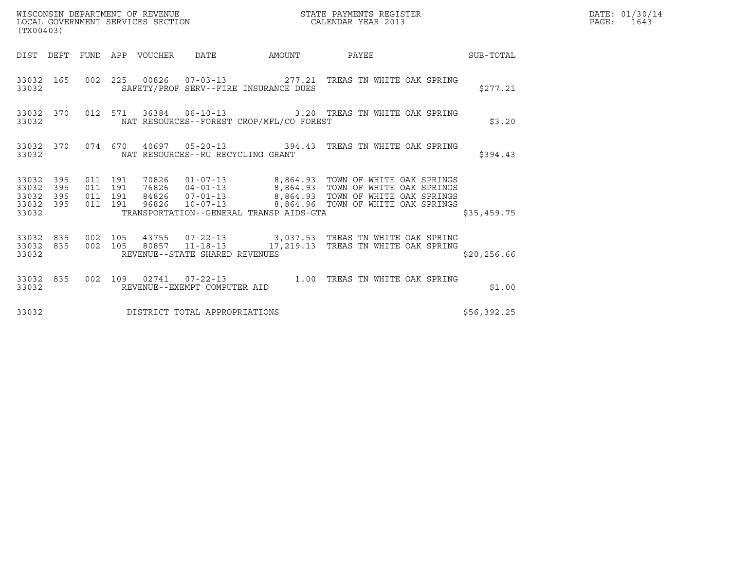|       | DATE: 01/30/14 |
|-------|----------------|
| PAGE: | 1643           |

| (TX00403)                                |                        |                               |         |                                 |                                |                                          |                                                                                                                                                                                                                                    |  |              | DATE: 01/30/14<br>PAGE: 1643 |
|------------------------------------------|------------------------|-------------------------------|---------|---------------------------------|--------------------------------|------------------------------------------|------------------------------------------------------------------------------------------------------------------------------------------------------------------------------------------------------------------------------------|--|--------------|------------------------------|
|                                          |                        |                               |         | DIST DEPT FUND APP VOUCHER DATE |                                |                                          | AMOUNT PAYEE SUB-TOTAL                                                                                                                                                                                                             |  |              |                              |
| 33032                                    | 33032 165              |                               |         |                                 |                                | SAFETY/PROF SERV--FIRE INSURANCE DUES    | 002 225 00826 07-03-13 277.21 TREAS TN WHITE OAK SPRING                                                                                                                                                                            |  | \$277.21     |                              |
| 33032                                    |                        |                               |         |                                 |                                | NAT RESOURCES--FOREST CROP/MFL/CO FOREST | 33032 370 012 571 36384 06-10-13 3.20 TREAS TN WHITE OAK SPRING                                                                                                                                                                    |  | \$3.20       |                              |
| 33032                                    |                        |                               |         |                                 |                                | NAT RESOURCES--RU RECYCLING GRANT        | 33032 370 074 670 40697 05-20-13 394.43 TREAS TN WHITE OAK SPRING                                                                                                                                                                  |  | \$394.43     |                              |
| 33032<br>33032 395<br>33032 395<br>33032 | 33032 395<br>395       | 011 191<br>011 191<br>011 191 | 011 191 |                                 |                                | TRANSPORTATION--GENERAL TRANSP AIDS-GTA  | 70826  01-07-13  8,864.93  TOWN OF WHITE OAK SPRINGS<br>76826  04-01-13  8,864.93  TOWN OF WHITE OAK SPRINGS<br>84826  07-01-13  8,864.93  TOWN OF WHITE OAK SPRINGS<br>96826  10-07-13  ------8,864.96  TOWN OF WHITE OAK SPRINGS |  | \$35,459.75  |                              |
|                                          |                        |                               |         |                                 |                                |                                          |                                                                                                                                                                                                                                    |  |              |                              |
| 33032                                    | 33032 835<br>33032 835 |                               |         |                                 | REVENUE--STATE SHARED REVENUES |                                          | 002 105 43755 07-22-13 3,037.53 TREAS TN WHITE OAK SPRING<br>002 105 80857 11-18-13 17,219.13 TREAS TN WHITE OAK SPRING                                                                                                            |  | \$20, 256.66 |                              |
|                                          |                        |                               |         |                                 |                                |                                          | 33032 835 002 109 02741 07-22-13 1.00 TREAS TN WHITE OAK SPRING 33032                                                                                                                                                              |  | \$1.00       |                              |
| 33032                                    |                        |                               |         |                                 | DISTRICT TOTAL APPROPRIATIONS  |                                          |                                                                                                                                                                                                                                    |  | \$56,392.25  |                              |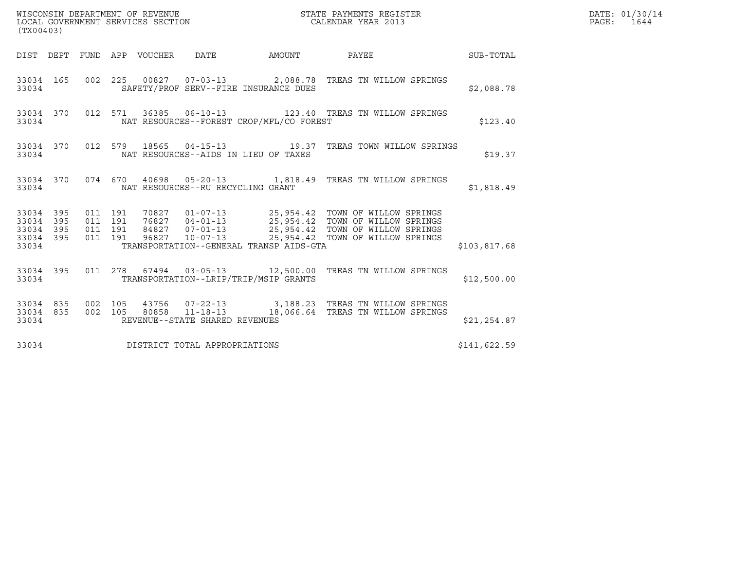| (TX00403)                                |                  |                                          |  |                                            |                                                                                                                                                                                                                                  |              | DATE: 01/30/14<br>PAGE: 1644 |
|------------------------------------------|------------------|------------------------------------------|--|--------------------------------------------|----------------------------------------------------------------------------------------------------------------------------------------------------------------------------------------------------------------------------------|--------------|------------------------------|
|                                          |                  |                                          |  |                                            | DIST DEPT FUND APP VOUCHER DATE AMOUNT PAYEE THE SUB-TOTAL                                                                                                                                                                       |              |                              |
| 33034                                    |                  |                                          |  | SAFETY/PROF SERV--FIRE INSURANCE DUES      | 33034 165 002 225 00827 07-03-13 2,088.78 TREAS TN WILLOW SPRINGS                                                                                                                                                                | \$2,088.78   |                              |
| 33034                                    |                  |                                          |  | NAT RESOURCES--FOREST CROP/MFL/CO FOREST   | 33034 370 012 571 36385 06-10-13 123.40 TREAS TN WILLOW SPRINGS                                                                                                                                                                  | \$123.40     |                              |
|                                          |                  |                                          |  | 33034 NAT RESOURCES--AIDS IN LIEU OF TAXES | 33034 370 012 579 18565 04-15-13 19.37 TREAS TOWN WILLOW SPRINGS                                                                                                                                                                 | \$19.37      |                              |
| 33034                                    |                  |                                          |  | NAT RESOURCES--RU RECYCLING GRANT          | 33034 370 074 670 40698 05-20-13 1,818.49 TREAS TN WILLOW SPRINGS                                                                                                                                                                | \$1,818.49   |                              |
| 33034 395<br>33034<br>33034 395<br>33034 | 395<br>33034 395 | 011 191<br>011 191<br>011 191<br>011 191 |  | TRANSPORTATION--GENERAL TRANSP AIDS-GTA    | 70827   01-07-13   25,954.42   TOWN OF WILLOW SPRINGS<br>76827   04-01-13   25,954.42   TOWN OF WILLOW SPRINGS<br>84827   07-01-13   25,954.42   TOWN OF WILLOW SPRINGS<br>96827   10-07-13   25,954.42   TOWN OF WILLOW SPRINGS | \$103,817.68 |                              |
|                                          | 33034            |                                          |  | TRANSPORTATION--LRIP/TRIP/MSIP GRANTS      | 33034 395 011 278 67494 03-05-13 12,500.00 TREAS TN WILLOW SPRINGS                                                                                                                                                               | \$12,500.00  |                              |
| 33034                                    |                  |                                          |  | REVENUE--STATE SHARED REVENUES             | $\begin{array}{cccccc} 33034 & 835 & 002 & 105 & 43756 & 07-22-13 & & 3,188.23 & \text{TREAS TN WILLOW SPRINGS} \\ 33034 & 835 & 002 & 105 & 80858 & 11-18-13 & & 18,066.64 & \text{TREAS TN WILLOW SPRINGS} \end{array}$        | \$21,254.87  |                              |
| 33034                                    |                  |                                          |  | DISTRICT TOTAL APPROPRIATIONS              |                                                                                                                                                                                                                                  | \$141,622.59 |                              |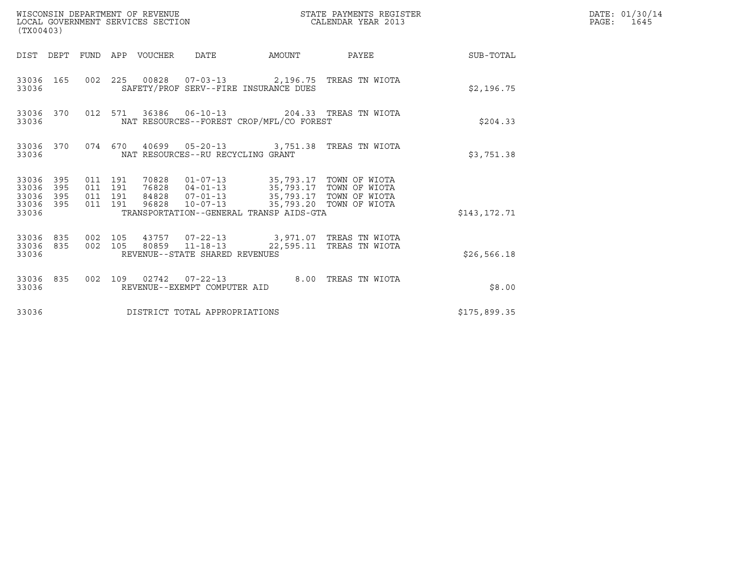| (TX00403)                                         |                        |                                          | WISCONSIN DEPARTMENT OF REVENUE<br>LOCAL GOVERNMENT SERVICES SECTION |                                                          |                                                                                                                                                                                                                             | STATE PAYMENTS REGISTER<br>CALENDAR YEAR 2013 |                        | DATE: 01/30/14<br>PAGE: 1645 |
|---------------------------------------------------|------------------------|------------------------------------------|----------------------------------------------------------------------|----------------------------------------------------------|-----------------------------------------------------------------------------------------------------------------------------------------------------------------------------------------------------------------------------|-----------------------------------------------|------------------------|------------------------------|
|                                                   |                        |                                          | DIST DEPT FUND APP VOUCHER DATE                                      |                                                          |                                                                                                                                                                                                                             |                                               | AMOUNT PAYEE SUB-TOTAL |                              |
| 33036                                             | 33036 165              |                                          |                                                                      |                                                          | 002  225  00828  07-03-13  2,196.75  TREAS TN WIOTA<br>SAFETY/PROF SERV--FIRE INSURANCE DUES                                                                                                                                |                                               | \$2,196.75             |                              |
| 33036                                             | 33036 370              |                                          |                                                                      |                                                          | 012 571 36386 06-10-13 204.33 TREAS TN WIOTA<br>NAT RESOURCES--FOREST CROP/MFL/CO FOREST                                                                                                                                    |                                               | \$204.33               |                              |
| 33036                                             |                        |                                          |                                                                      | NAT RESOURCES--RU RECYCLING GRANT                        | 33036 370 074 670 40699 05-20-13 3,751.38 TREAS TN WIOTA                                                                                                                                                                    |                                               | \$3,751.38             |                              |
| 33036 395<br>33036<br>33036<br>33036 395<br>33036 | 395<br>395             | 011 191<br>011 191<br>011 191<br>011 191 | 96828                                                                |                                                          | 70828   01-07-13   35,793.17   TOWN OF WIOTA<br>76828   04-01-13   35,793.17   TOWN OF WIOTA<br>84828   07-01-13   35,793.17   TOWN OF WIOTA<br>10-07-13 35,793.20 TOWN OF WIOTA<br>TRANSPORTATION--GENERAL TRANSP AIDS-GTA |                                               | \$143,172.71           |                              |
| 33036                                             | 33036 835<br>33036 835 | 002 105                                  |                                                                      | 002 105 80859 11-18-13<br>REVENUE--STATE SHARED REVENUES | 43757  07-22-13  3,971.07  TREAS TN WIOTA                                                                                                                                                                                   | 22,595.11 TREAS TN WIOTA                      | \$26,566.18            |                              |
| 33036                                             | 33036 835              |                                          |                                                                      | REVENUE--EXEMPT COMPUTER AID                             | 002 109 02742 07-22-13 8.00 TREAS TN WIOTA                                                                                                                                                                                  |                                               | \$8.00                 |                              |
| 33036                                             |                        |                                          |                                                                      | DISTRICT TOTAL APPROPRIATIONS                            |                                                                                                                                                                                                                             |                                               | \$175,899.35           |                              |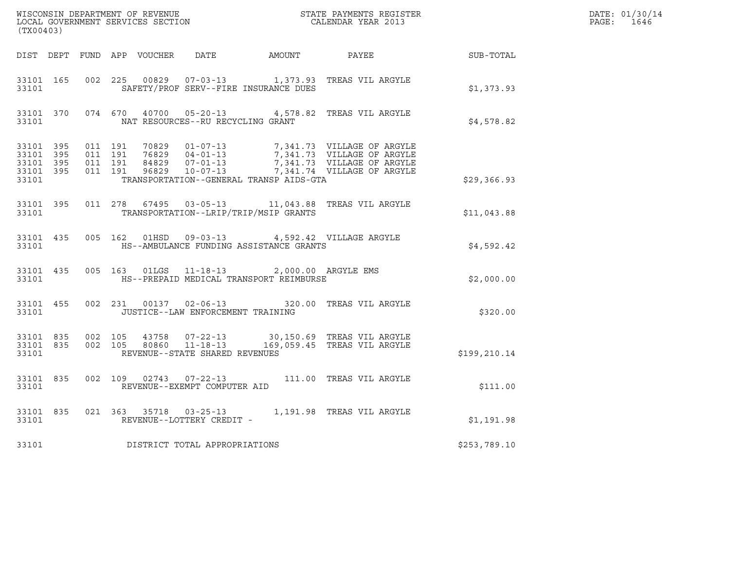| (TX00403) |       |  |                                         |                                                                                                 | % WISCONSIN DEPARTMENT OF REVENUE $$\tt STATE$ PAYMENTS REGISTER LOCAL GOVERNMENT SERVICES SECTION $$\tt CALENDAR$ YEAR 2013                                                                                                                                                                                             |              | DATE: 01/30/14<br>PAGE: 1646 |
|-----------|-------|--|-----------------------------------------|-------------------------------------------------------------------------------------------------|--------------------------------------------------------------------------------------------------------------------------------------------------------------------------------------------------------------------------------------------------------------------------------------------------------------------------|--------------|------------------------------|
|           |       |  |                                         |                                                                                                 | DIST DEPT FUND APP VOUCHER DATE AMOUNT PAYEE PAYER SUB-TOTAL                                                                                                                                                                                                                                                             |              |                              |
|           | 33101 |  |                                         |                                                                                                 | 33101 165 002 225 00829 07-03-13 1,373.93 TREAS VIL ARGYLE<br>SAFETY/PROF SERV--FIRE INSURANCE DUES                                                                                                                                                                                                                      | \$1,373.93   |                              |
|           |       |  | 33101 NAT RESOURCES--RU RECYCLING GRANT |                                                                                                 | 33101 370 074 670 40700 05-20-13 4,578.82 TREAS VIL ARGYLE                                                                                                                                                                                                                                                               | \$4,578.82   |                              |
| 33101     |       |  |                                         | TRANSPORTATION--GENERAL TRANSP AIDS-GTA                                                         | $\begin{array}{cccccccc} 33101 & 395 & 011 & 191 & 70829 & 01-07-13 & & & 7,341.73 & \text{VILLAGE OF ARGYLE} \\ 33101 & 395 & 011 & 191 & 76829 & 04-01-13 & & & 7,341.73 & \text{VILLAGE OF ARGYLE} \\ 33101 & 395 & 011 & 191 & 84829 & 07-01-13 & & & 7,341.73 & \text{VILLAGE OF ARGYLE} \\ 33101 & 395 & 011 & 19$ | \$29,366.93  |                              |
|           |       |  |                                         | 33101 TRANSPORTATION--LRIP/TRIP/MSIP GRANTS                                                     | 33101 395 011 278 67495 03-05-13 11,043.88 TREAS VIL ARGYLE                                                                                                                                                                                                                                                              | \$11,043.88  |                              |
|           |       |  |                                         | 33101 HS--AMBULANCE FUNDING ASSISTANCE GRANTS                                                   | 33101 435 005 162 01HSD 09-03-13 4,592.42 VILLAGE ARGYLE                                                                                                                                                                                                                                                                 | \$4,592.42   |                              |
| 33101     |       |  |                                         | 33101 435 005 163 01LGS 11-18-13 2,000.00 ARGYLE EMS<br>HS--PREPAID MEDICAL TRANSPORT REIMBURSE |                                                                                                                                                                                                                                                                                                                          | \$2,000.00   |                              |
|           |       |  | 33101 JUSTICE--LAW ENFORCEMENT TRAINING |                                                                                                 | 33101 455 002 231 00137 02-06-13 320.00 TREAS VIL ARGYLE                                                                                                                                                                                                                                                                 | \$320.00     |                              |
| 33101     |       |  | REVENUE--STATE SHARED REVENUES          |                                                                                                 | 33101 835 002 105 43758 07-22-13 30,150.69 TREAS VIL ARGYLE<br>33101 835 002 105 80860 11-18-13 169,059.45 TREAS VIL ARGYLE                                                                                                                                                                                              | \$199,210.14 |                              |
| 33101     |       |  | REVENUE--EXEMPT COMPUTER AID            |                                                                                                 | 33101 835 002 109 02743 07-22-13 111.00 TREAS VIL ARGYLE                                                                                                                                                                                                                                                                 | \$111.00     |                              |
|           |       |  | 33101 REVENUE--LOTTERY CREDIT -         |                                                                                                 | 33101 835 021 363 35718 03-25-13 1,191.98 TREAS VIL ARGYLE                                                                                                                                                                                                                                                               | \$1,191.98   |                              |
| 33101     |       |  | DISTRICT TOTAL APPROPRIATIONS           |                                                                                                 |                                                                                                                                                                                                                                                                                                                          | \$253,789.10 |                              |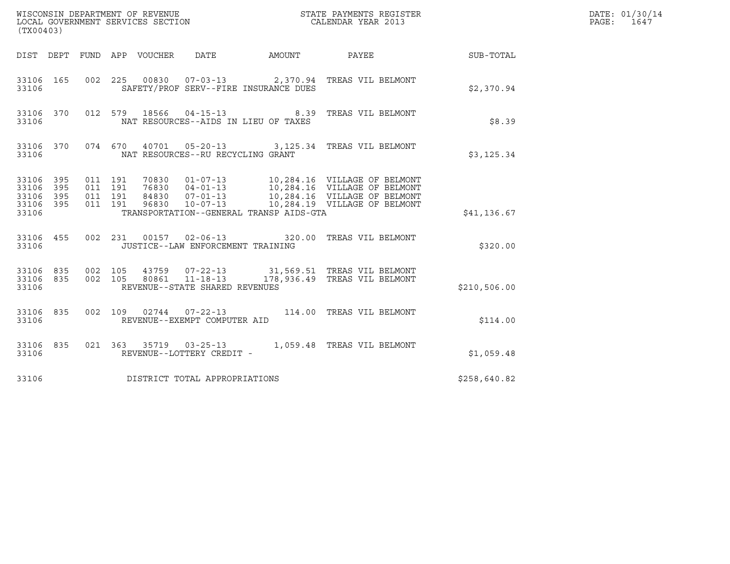| (TX00403)                                         |            |                                          | WISCONSIN DEPARTMENT OF REVENUE<br>LOCAL GOVERNMENT SERVICES SECTION<br>STATE PAYMENTS REGISTER<br>CALENDAR YEAR 2013             |              | DATE: 01/30/14<br>PAGE:<br>1647 |
|---------------------------------------------------|------------|------------------------------------------|-----------------------------------------------------------------------------------------------------------------------------------|--------------|---------------------------------|
|                                                   |            |                                          | DIST DEPT FUND APP VOUCHER<br>DATE<br>AMOUNT PAYEE                                                                                | SUB-TOTAL    |                                 |
| 33106 165<br>33106                                |            | 002 225                                  | 00830  07-03-13  2,370.94 TREAS VIL BELMONT<br>SAFETY/PROF SERV--FIRE INSURANCE DUES                                              | \$2,370.94   |                                 |
| 33106 370<br>33106                                |            | 012 579                                  | $04 - 15 - 13$<br>18566<br>8.39 TREAS VIL BELMONT<br>NAT RESOURCES--AIDS IN LIEU OF TAXES                                         | \$8.39       |                                 |
| 33106 370<br>33106                                |            |                                          | 074 670 40701 05-20-13 3,125.34 TREAS VIL BELMONT<br>NAT RESOURCES--RU RECYCLING GRANT                                            | \$3,125.34   |                                 |
| 33106 395<br>33106<br>33106<br>33106 395<br>33106 | 395<br>395 | 011 191<br>011 191<br>011 191<br>011 191 | TRANSPORTATION--GENERAL TRANSP AIDS-GTA                                                                                           | \$41,136.67  |                                 |
| 33106 455<br>33106                                |            |                                          | 002 231 00157 02-06-13 320.00 TREAS VIL BELMONT<br>JUSTICE--LAW ENFORCEMENT TRAINING                                              | \$320.00     |                                 |
| 33106 835<br>33106                                |            | 33106 835 002 105<br>002 105             | 43759  07-22-13  31,569.51  TREAS VIL BELMONT<br>80861 11-18-13<br>178,936.49 TREAS VIL BELMONT<br>REVENUE--STATE SHARED REVENUES | \$210,506.00 |                                 |
| 33106 835<br>33106                                |            | 002 109                                  | REVENUE--EXEMPT COMPUTER AID                                                                                                      | \$114.00     |                                 |
| 33106 835<br>33106                                |            |                                          | 021  363  35719  03-25-13   1,059.48  TREAS VIL BELMONT<br>REVENUE--LOTTERY CREDIT -                                              | \$1,059.48   |                                 |
| 33106                                             |            |                                          | DISTRICT TOTAL APPROPRIATIONS                                                                                                     | \$258,640.82 |                                 |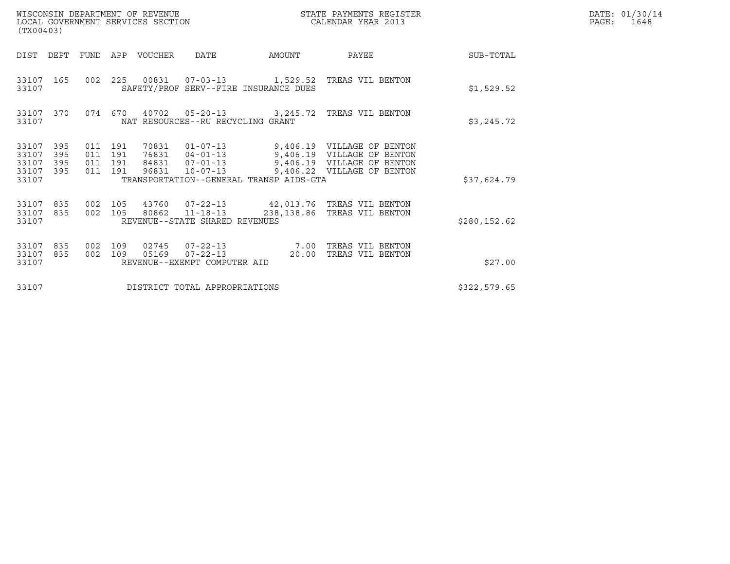| WISCONSIN DEPARTMENT OF REVENUE<br>LOCAL GOVERNMENT SERVICES SECTION<br>(TX00403) |         |                                          |                  |                                         |        | STATE PAYMENTS REGISTER<br>CALENDAR YEAR 2013                                                                                                                                       |               | DATE: 01/30/14<br>PAGE:<br>1648 |
|-----------------------------------------------------------------------------------|---------|------------------------------------------|------------------|-----------------------------------------|--------|-------------------------------------------------------------------------------------------------------------------------------------------------------------------------------------|---------------|---------------------------------|
| DIST DEPT                                                                         |         |                                          | FUND APP VOUCHER | DATE                                    | AMOUNT | PAYEE                                                                                                                                                                               | SUB-TOTAL     |                                 |
| 33107 165<br>33107                                                                |         |                                          |                  | SAFETY/PROF SERV--FIRE INSURANCE DUES   |        | 002 225 00831 07-03-13 1,529.52 TREAS VIL BENTON                                                                                                                                    | \$1,529.52    |                                 |
| 33107 370<br>33107                                                                |         |                                          |                  | NAT RESOURCES--RU RECYCLING GRANT       |        | 074 670 40702 05-20-13 3,245.72 TREAS VIL BENTON                                                                                                                                    | \$3,245.72    |                                 |
| 33107<br>395<br>33107<br>395<br>33107<br>395<br>33107<br>395<br>33107             |         | 011 191<br>011 191<br>011 191<br>011 191 | 96831            | TRANSPORTATION--GENERAL TRANSP AIDS-GTA |        | 70831  01-07-13  9,406.19  VILLAGE OF BENTON<br>76831  04-01-13  9,406.19  VILLAGE OF BENTON<br>84831  07-01-13  9,406.19  VILLAGE OF BENTON<br>10-07-13 9,406.22 VILLAGE OF BENTON | \$37,624.79   |                                 |
| 33107<br>835<br>33107 835<br>33107                                                | 002 105 | 002 105                                  |                  | REVENUE--STATE SHARED REVENUES          |        | 43760  07-22-13  42,013.76  TREAS VIL BENTON<br>80862 11-18-13 238,138.86 TREAS VIL BENTON                                                                                          | \$280, 152.62 |                                 |
| 33107<br>835<br>33107<br>835<br>33107                                             | 002     | 109<br>002 109                           | 05169            | REVENUE--EXEMPT COMPUTER AID            |        | 02745  07-22-13  7.00 TREAS VIL BENTON<br>07-22-13 20.00 TREAS VIL BENTON                                                                                                           | \$27.00       |                                 |
| 33107                                                                             |         |                                          |                  | DISTRICT TOTAL APPROPRIATIONS           |        |                                                                                                                                                                                     | \$322,579.65  |                                 |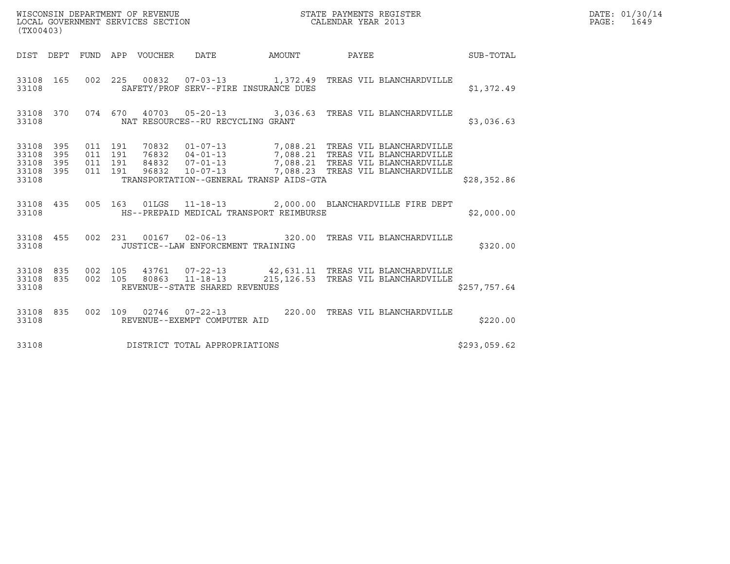| (TX00403)                                 |                          |                                          |                  | WISCONSIN DEPARTMENT OF REVENUE<br>LOCAL GOVERNMENT SERVICES SECTION |                                                                                                                                                                                                              | STATE PAYMENTS REGISTER<br>CALENDAR YEAR 2013 |              | DATE: 01/30/14<br>PAGE: 1649 |
|-------------------------------------------|--------------------------|------------------------------------------|------------------|----------------------------------------------------------------------|--------------------------------------------------------------------------------------------------------------------------------------------------------------------------------------------------------------|-----------------------------------------------|--------------|------------------------------|
| DIST DEPT                                 |                          |                                          | FUND APP VOUCHER | DATE                                                                 | AMOUNT                                                                                                                                                                                                       | PAYEE                                         | SUB-TOTAL    |                              |
| 33108 165<br>33108                        |                          |                                          |                  |                                                                      | 002 225 00832 07-03-13 1,372.49 TREAS VIL BLANCHARDVILLE<br>SAFETY/PROF SERV--FIRE INSURANCE DUES                                                                                                            |                                               | \$1,372.49   |                              |
| 33108 370<br>33108                        |                          |                                          |                  | NAT RESOURCES--RU RECYCLING GRANT                                    | 074 670 40703 05-20-13 3,036.63 TREAS VIL BLANCHARDVILLE                                                                                                                                                     |                                               | \$3,036.63   |                              |
| 33108<br>33108<br>33108<br>33108<br>33108 | 395<br>395<br>395<br>395 | 011 191<br>011 191<br>011 191<br>011 191 | 96832            | $10 - 07 - 13$                                                       | 70832  01-07-13  7,088.21  TREAS VIL BLANCHARDVILLE<br>76832  04-01-13  7,088.21  TREAS VIL BLANCHARDVILLE<br>84832  07-01-13  7,088.21  TREAS VIL BLANCHARDVILLE<br>TRANSPORTATION--GENERAL TRANSP AIDS-GTA | 7,088.23 TREAS VIL BLANCHARDVILLE             | \$28,352.86  |                              |
| 33108 435<br>33108                        |                          |                                          |                  |                                                                      | 005 163 01LGS 11-18-13 2,000.00 BLANCHARDVILLE FIRE DEPT<br>HS--PREPAID MEDICAL TRANSPORT REIMBURSE                                                                                                          |                                               | \$2,000.00   |                              |
| 33108 455<br>33108                        |                          |                                          |                  | JUSTICE--LAW ENFORCEMENT TRAINING                                    | 002 231 00167 02-06-13 320.00 TREAS VIL BLANCHARDVILLE                                                                                                                                                       |                                               | \$320.00     |                              |
| 33108 835<br>33108<br>33108               | 835                      | 002 105<br>002 105                       | 80863            | $11 - 18 - 13$<br>REVENUE--STATE SHARED REVENUES                     | 43761  07-22-13  42,631.11  TREAS VIL BLANCHARDVILLE                                                                                                                                                         | 215, 126.53 TREAS VIL BLANCHARDVILLE          | \$257,757.64 |                              |
| 33108 835<br>33108                        |                          |                                          |                  | 002 109 02746 07-22-13<br>REVENUE--EXEMPT COMPUTER AID               |                                                                                                                                                                                                              | 220.00 TREAS VIL BLANCHARDVILLE               | \$220.00     |                              |
| 33108                                     |                          |                                          |                  | DISTRICT TOTAL APPROPRIATIONS                                        |                                                                                                                                                                                                              |                                               | \$293,059.62 |                              |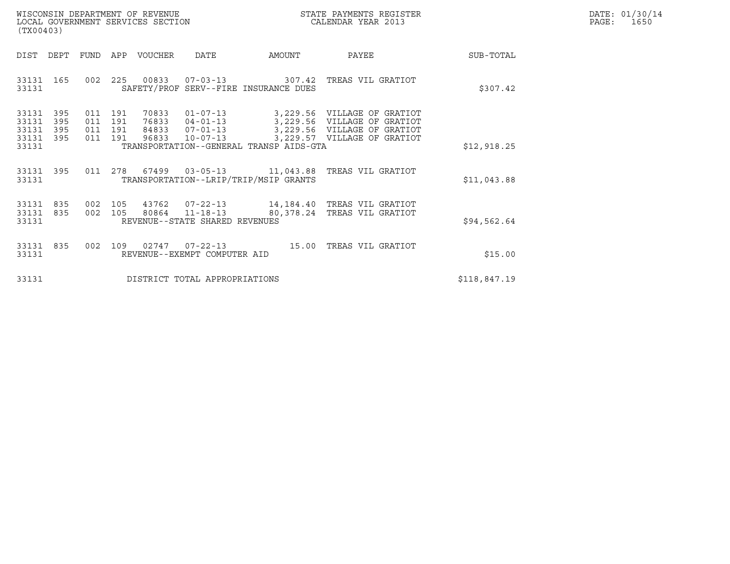| WISCONSIN DEPARTMENT OF REVENUE   | STATE PAYMENTS REGISTER | DATE: 01/30/14 |
|-----------------------------------|-------------------------|----------------|
| LOCAL GOVERNMENT SERVICES SECTION | CALENDAR YEAR 2013      | 1650<br>PAGE:  |

|                                               | (TX00403)         |  |         |  |                                                          |                                         |                                                                                                                                                                                                                 |              | DATE: 01/30/14<br>PAGE: 1650 |
|-----------------------------------------------|-------------------|--|---------|--|----------------------------------------------------------|-----------------------------------------|-----------------------------------------------------------------------------------------------------------------------------------------------------------------------------------------------------------------|--------------|------------------------------|
| DIST DEPT                                     |                   |  |         |  |                                                          | FUND APP VOUCHER DATE AMOUNT            | PAYEE                                                                                                                                                                                                           | SUB-TOTAL    |                              |
| 33131 165<br>33131                            |                   |  |         |  |                                                          | SAFETY/PROF SERV--FIRE INSURANCE DUES   | 002  225  00833  07-03-13  307.42  TREAS VIL GRATIOT                                                                                                                                                            | \$307.42     |                              |
| 33131<br>33131<br>33131<br>33131 395<br>33131 | 395<br>395<br>395 |  | 011 191 |  |                                                          | TRANSPORTATION--GENERAL TRANSP AIDS-GTA | 70833  01-07-13  3,229.56  VILLAGE OF GRATIOT<br>011 191 76833 04-01-13 3,229.56 VILLAGE OF GRATIOT<br>011 191 84833 07-01-13 3,229.56 VILLAGE OF GRATIOT<br>011 191 96833 10-07-13 3,229.57 VILLAGE OF GRATIOT | \$12,918.25  |                              |
| 33131                                         | 33131 395         |  |         |  |                                                          | TRANSPORTATION--LRIP/TRIP/MSIP GRANTS   | 011  278  67499  03-05-13  11,043.88  TREAS VIL GRATIOT                                                                                                                                                         | \$11,043.88  |                              |
| 33131<br>33131<br>33131                       | 835<br>835        |  |         |  | 002 105 80864 11-18-13<br>REVENUE--STATE SHARED REVENUES |                                         | 002 105 43762 07-22-13 14,184.40 TREAS VIL GRATIOT<br>80,378.24 TREAS VIL GRATIOT                                                                                                                               | \$94,562.64  |                              |
| 33131 835<br>33131                            |                   |  |         |  | REVENUE--EXEMPT COMPUTER AID                             |                                         | 002  109  02747  07-22-13   15.00 TREAS VIL GRATIOT                                                                                                                                                             | \$15.00      |                              |
| 33131                                         |                   |  |         |  | DISTRICT TOTAL APPROPRIATIONS                            |                                         |                                                                                                                                                                                                                 | \$118,847.19 |                              |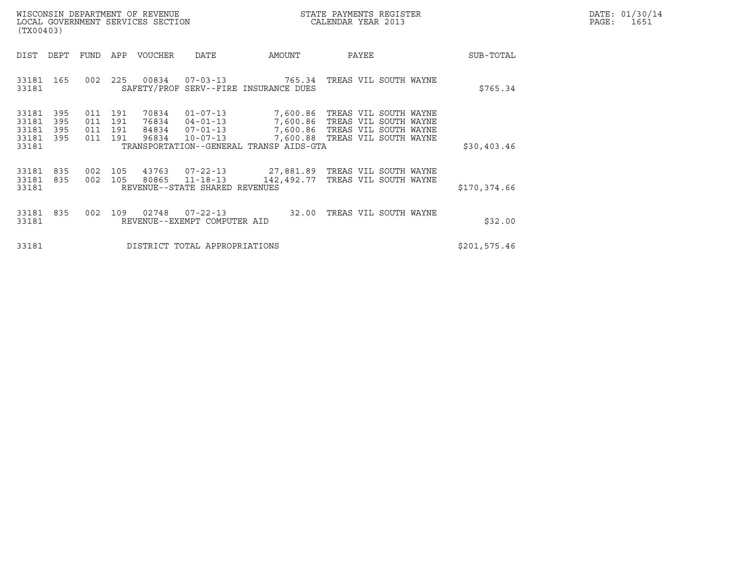| WISCONSIN DEPARTMENT OF REVENUE   | STATE PAYMENTS REGISTER | DATE: 01/30/14 |
|-----------------------------------|-------------------------|----------------|
| LOCAL GOVERNMENT SERVICES SECTION | CALENDAR YEAR 2013      | PAGE:<br>1651  |

| WISCONSIN DEPARTMENT OF REVENUE<br>LOCAL GOVERNMENT SERVICES SECTION<br>(TX00403)                                                                                 |                                                                                                                                                           | STATE PAYMENTS REGISTER<br>CALENDAR YEAR 2013                                                    |               | DATE: 01/30/14<br>PAGE:<br>1651 |
|-------------------------------------------------------------------------------------------------------------------------------------------------------------------|-----------------------------------------------------------------------------------------------------------------------------------------------------------|--------------------------------------------------------------------------------------------------|---------------|---------------------------------|
| DEPT<br>APP VOUCHER<br>DIST<br>FUND                                                                                                                               | DATE<br>AMOUNT                                                                                                                                            | PAYEE                                                                                            | SUB-TOTAL     |                                 |
| 225<br>00834<br>33181<br>165<br>002<br>33181                                                                                                                      | $07 - 03 - 13$<br>765.34<br>SAFETY/PROF SERV--FIRE INSURANCE DUES                                                                                         | TREAS VIL SOUTH WAYNE                                                                            | \$765.34      |                                 |
| 33181<br>395<br>191<br>70834<br>011<br>33181<br>395<br>011<br>191<br>76834<br>33181<br>395<br>011<br>191<br>84834<br>33181<br>191<br>96834<br>395<br>011<br>33181 | $01 - 07 - 13$<br>7,600.86<br>$04 - 01 - 13$<br>7,600.86<br>7,600.86<br>07-01-13<br>7,600.88<br>$10 - 07 - 13$<br>TRANSPORTATION--GENERAL TRANSP AIDS-GTA | TREAS VIL SOUTH WAYNE<br>TREAS VIL SOUTH WAYNE<br>TREAS VIL SOUTH WAYNE<br>TREAS VIL SOUTH WAYNE | \$30,403.46   |                                 |
| 33181<br>835<br>002<br>105<br>43763<br>33181<br>835<br>002<br>105<br>80865<br>33181<br>REVENUE--STATE SHARED REVENUES                                             | 27,881.89<br>07-22-13<br>$11 - 18 - 13$<br>142,492.77                                                                                                     | TREAS VIL SOUTH WAYNE<br>TREAS VIL SOUTH WAYNE                                                   | \$170,374.66  |                                 |
| 02748<br>33181<br>835<br>002<br>109<br>33181<br>REVENUE--EXEMPT COMPUTER AID                                                                                      | $07 - 22 - 13$<br>32.00                                                                                                                                   | TREAS VIL SOUTH WAYNE                                                                            | \$32.00       |                                 |
| 33181                                                                                                                                                             | DISTRICT TOTAL APPROPRIATIONS                                                                                                                             |                                                                                                  | \$201, 575.46 |                                 |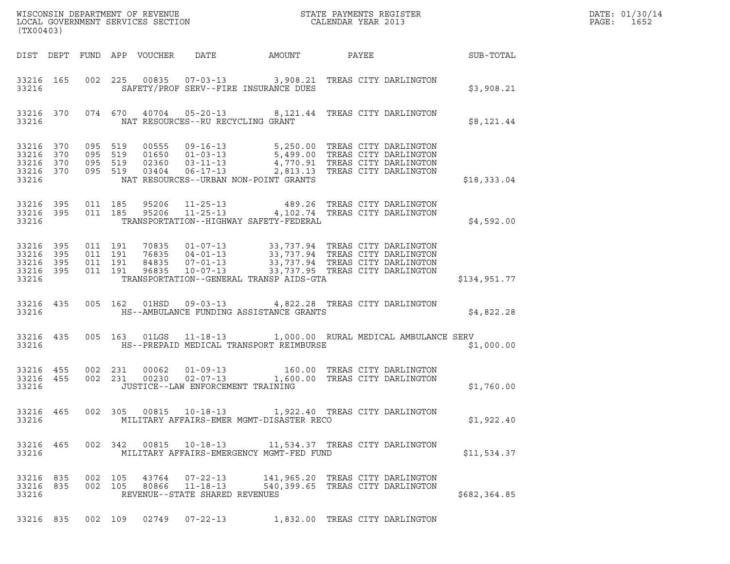| DATE: | 01/30/14 |
|-------|----------|
| PAGE: | 1652     |

| (TX00403)                                |                        |                    |                    |  |                                                                    |                                                                                                                                                                                                                                                                                                                                                           |  |                 | DATE: 01/30/14<br>PAGE: 1652 |
|------------------------------------------|------------------------|--------------------|--------------------|--|--------------------------------------------------------------------|-----------------------------------------------------------------------------------------------------------------------------------------------------------------------------------------------------------------------------------------------------------------------------------------------------------------------------------------------------------|--|-----------------|------------------------------|
|                                          |                        |                    |                    |  |                                                                    | DIST DEPT FUND APP VOUCHER DATE AMOUNT                                                                                                                                                                                                                                                                                                                    |  | PAYEE SUB-TOTAL |                              |
| 33216                                    |                        |                    |                    |  |                                                                    | 33216 165 002 225 00835 07-03-13 3,908.21 TREAS CITY DARLINGTON<br>SAFETY/PROF SERV--FIRE INSURANCE DUES                                                                                                                                                                                                                                                  |  | \$3,908.21      |                              |
|                                          | 33216                  |                    |                    |  | NAT RESOURCES--RU RECYCLING GRANT                                  | 33216 370 074 670 40704 05-20-13 8,121.44 TREAS CITY DARLINGTON                                                                                                                                                                                                                                                                                           |  | \$8,121.44      |                              |
| 33216                                    |                        |                    |                    |  |                                                                    | $\begin{tabular}{cccccc} 33216 & 370 & 095 & 519 & 00555 & 09-16-13 & 5,250.00 & TREAS CITY DARLINGTON \\ 33216 & 370 & 095 & 519 & 01650 & 01-03-13 & 5,499.00 & TREAS CITY DARLINGTON \\ 33216 & 370 & 095 & 519 & 02360 & 03-11-13 & 4,770.91 & TREAS CITY DARLINGTON \\ 33216 & 370 & 095 & 519 & 03404 & 0$<br>NAT RESOURCES--URBAN NON-POINT GRANTS |  | \$18,333.04     |                              |
| 33216                                    | 33216 395<br>33216 395 |                    |                    |  |                                                                    | 011 185 95206 11-25-13 489.26 TREAS CITY DARLINGTON<br>011 185 95206 11-25-13 4,102.74 TREAS CITY DARLINGTON<br>TRANSPORTATION--HIGHWAY SAFETY-FEDERAL                                                                                                                                                                                                    |  | \$4,592.00      |                              |
| 33216 395<br>33216<br>33216 395<br>33216 | 395<br>33216 395       | 011 191<br>011 191 | 011 191<br>011 191 |  |                                                                    | 70835  01-07-13  33,737.94  TREAS CITY DARLINGTON<br>76835  04-01-13  33,737.94  TREAS CITY DARLINGTON<br>84835  07-01-13  33,737.94  TREAS CITY DARLINGTON<br>96835  10-07-13  33,737.95  TREAS CITY DARLINGTON<br>TRANSPORTATION--GENERAL TRANSP AIDS-GTA                                                                                               |  | \$134,951.77    |                              |
| 33216                                    | 33216 435              |                    |                    |  |                                                                    | 005 162 01HSD 09-03-13 4,822.28 TREAS CITY DARLINGTON<br>HS--AMBULANCE FUNDING ASSISTANCE GRANTS                                                                                                                                                                                                                                                          |  | \$4,822.28      |                              |
| 33216                                    | 33216 435              |                    |                    |  |                                                                    | 005 163 01LGS 11-18-13 1,000.00 RURAL MEDICAL AMBULANCE SERV<br>HS--PREPAID MEDICAL TRANSPORT REIMBURSE                                                                                                                                                                                                                                                   |  | \$1,000.00      |                              |
| 33216                                    | 33216 455<br>33216 455 |                    |                    |  | JUSTICE--LAW ENFORCEMENT TRAINING                                  | 002 231 00062 01-09-13 160.00 TREAS CITY DARLINGTON<br>002 231 00230 02-07-13 1,600.00 TREAS CITY DARLINGTON                                                                                                                                                                                                                                              |  | \$1,760.00      |                              |
| 33216 465<br>33216                       |                        |                    |                    |  |                                                                    | 002 305 00815 10-18-13 1,922.40 TREAS CITY DARLINGTON<br>MILITARY AFFAIRS-EMER MGMT-DISASTER RECO                                                                                                                                                                                                                                                         |  | \$1,922.40      |                              |
| 33216 465<br>33216                       |                        |                    |                    |  | 002 342 00815 10-18-13                                             | 11,534.37 TREAS CITY DARLINGTON<br>MILITARY AFFAIRS-EMERGENCY MGMT-FED FUND                                                                                                                                                                                                                                                                               |  | \$11,534.37     |                              |
| 33216 835<br>33216 835<br>33216          |                        |                    | 002 105<br>002 105 |  | 43764 07-22-13<br>80866 11-18-13<br>REVENUE--STATE SHARED REVENUES | 141,965.20 TREAS CITY DARLINGTON<br>540,399.65 TREAS CITY DARLINGTON                                                                                                                                                                                                                                                                                      |  | \$682,364.85    |                              |

33216 835 002 109 02749 07-22-13 1,832.00 TREAS CITY DARLINGTON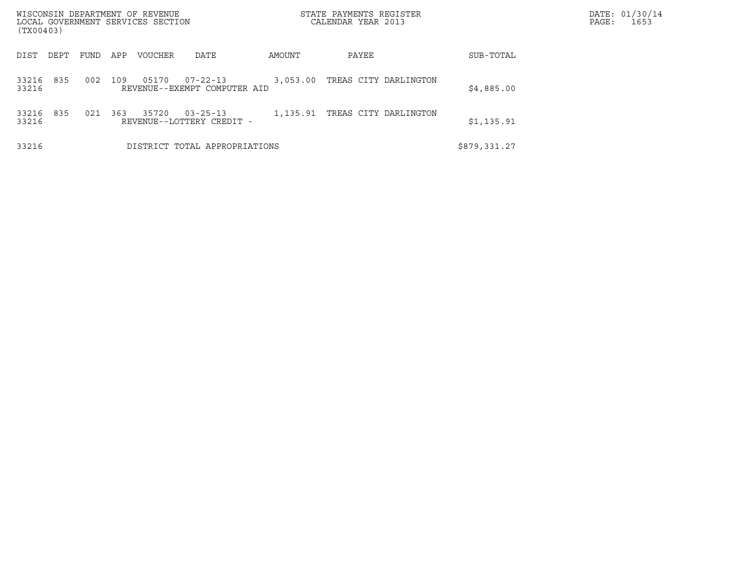| WISCONSIN DEPARTMENT OF REVENUE<br>LOCAL GOVERNMENT SERVICES SECTION |      |     |                |                                                |          | STATE PAYMENTS REGISTER<br>CALENDAR YEAR 2013 |              | DATE: 01/30/14<br>PAGE:<br>1653 |
|----------------------------------------------------------------------|------|-----|----------------|------------------------------------------------|----------|-----------------------------------------------|--------------|---------------------------------|
| (TX00403)                                                            |      |     |                |                                                |          |                                               |              |                                 |
| DEPT<br>DIST                                                         | FUND | APP | <b>VOUCHER</b> | DATE                                           | AMOUNT   | PAYEE                                         | SUB-TOTAL    |                                 |
| 835<br>33216<br>33216                                                | 002  | 109 | 05170          | $07 - 22 - 13$<br>REVENUE--EXEMPT COMPUTER AID | 3,053.00 | TREAS CITY DARLINGTON                         | \$4,885.00   |                                 |
| 835<br>33216<br>33216                                                | 021  | 363 | 35720          | $03 - 25 - 13$<br>REVENUE--LOTTERY CREDIT -    | 1,135.91 | TREAS CITY DARLINGTON                         | \$1,135.91   |                                 |
| 33216                                                                |      |     |                | DISTRICT TOTAL APPROPRIATIONS                  |          |                                               | \$879,331.27 |                                 |